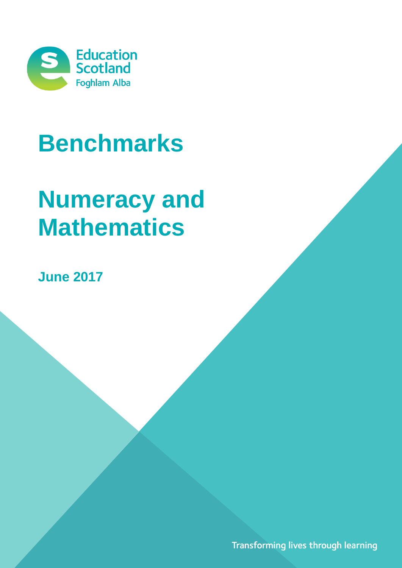

# **Benchmarks**

# **Numeracy and Mathematics**

**June 2017**

Transforming lives through learning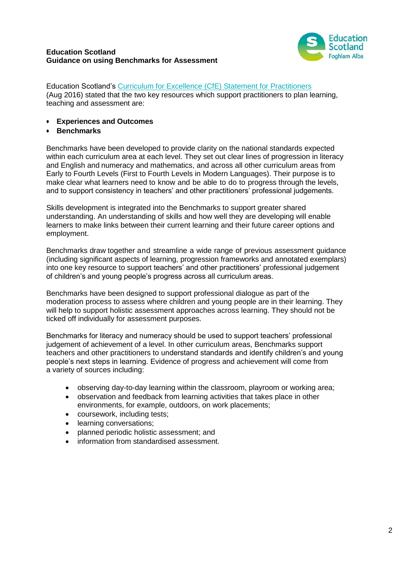## **Education Scotland Guidance on using Benchmarks for Assessment**



Education Scotland's [Curriculum for Excellence \(CfE\) Statement for Practitioners](https://education.gov.scot/improvement/Documents/cfestatement.pdf) (Aug 2016) stated that the two key resources which support practitioners to plan learning, teaching and assessment are:

- **Experiences and Outcomes**
- **Benchmarks**

Benchmarks have been developed to provide clarity on the national standards expected within each curriculum area at each level. They set out clear lines of progression in literacy and English and numeracy and mathematics, and across all other curriculum areas from Early to Fourth Levels (First to Fourth Levels in Modern Languages). Their purpose is to make clear what learners need to know and be able to do to progress through the levels, and to support consistency in teachers' and other practitioners' professional judgements.

Skills development is integrated into the Benchmarks to support greater shared understanding. An understanding of skills and how well they are developing will enable learners to make links between their current learning and their future career options and employment.

Benchmarks draw together and streamline a wide range of previous assessment guidance (including significant aspects of learning, progression frameworks and annotated exemplars) into one key resource to support teachers' and other practitioners' professional judgement of children's and young people's progress across all curriculum areas.

Benchmarks have been designed to support professional dialogue as part of the moderation process to assess where children and young people are in their learning. They will help to support holistic assessment approaches across learning. They should not be ticked off individually for assessment purposes.

Benchmarks for literacy and numeracy should be used to support teachers' professional judgement of achievement of a level. In other curriculum areas, Benchmarks support teachers and other practitioners to understand standards and identify children's and young people's next steps in learning. Evidence of progress and achievement will come from a variety of sources including:

- observing day-to-day learning within the classroom, playroom or working area;
- observation and feedback from learning activities that takes place in other environments, for example, outdoors, on work placements;
- coursework, including tests;
- **•** learning conversations;
- planned periodic holistic assessment; and
- information from standardised assessment.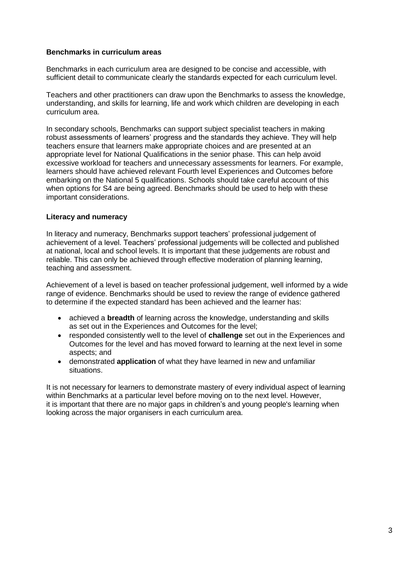### **Benchmarks in curriculum areas**

Benchmarks in each curriculum area are designed to be concise and accessible, with sufficient detail to communicate clearly the standards expected for each curriculum level.

Teachers and other practitioners can draw upon the Benchmarks to assess the knowledge, understanding, and skills for learning, life and work which children are developing in each curriculum area.

In secondary schools, Benchmarks can support subject specialist teachers in making robust assessments of learners' progress and the standards they achieve. They will help teachers ensure that learners make appropriate choices and are presented at an appropriate level for National Qualifications in the senior phase. This can help avoid excessive workload for teachers and unnecessary assessments for learners. For example, learners should have achieved relevant Fourth level Experiences and Outcomes before embarking on the National 5 qualifications. Schools should take careful account of this when options for S4 are being agreed. Benchmarks should be used to help with these important considerations.

## **Literacy and numeracy**

In literacy and numeracy, Benchmarks support teachers' professional judgement of achievement of a level. Teachers' professional judgements will be collected and published at national, local and school levels. It is important that these judgements are robust and reliable. This can only be achieved through effective moderation of planning learning, teaching and assessment.

Achievement of a level is based on teacher professional judgement, well informed by a wide range of evidence. Benchmarks should be used to review the range of evidence gathered to determine if the expected standard has been achieved and the learner has:

- achieved a **breadth** of learning across the knowledge, understanding and skills as set out in the Experiences and Outcomes for the level;
- responded consistently well to the level of **challenge** set out in the Experiences and Outcomes for the level and has moved forward to learning at the next level in some aspects; and
- demonstrated **application** of what they have learned in new and unfamiliar situations.

It is not necessary for learners to demonstrate mastery of every individual aspect of learning within Benchmarks at a particular level before moving on to the next level. However, it is important that there are no major gaps in children's and young people's learning when looking across the major organisers in each curriculum area.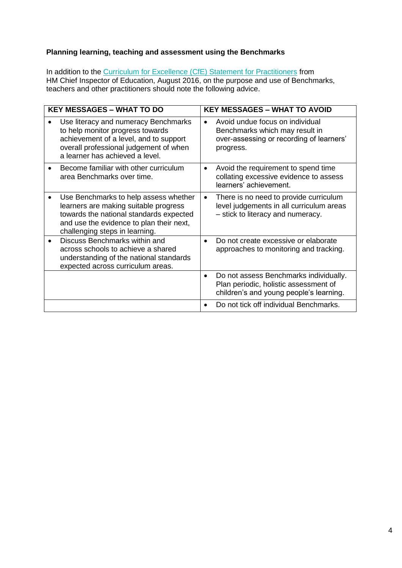# **Planning learning, teaching and assessment using the Benchmarks**

In addition to the **Curriculum for Excellence (CfE)** Statement for Practitioners from HM Chief Inspector of Education, August 2016, on the purpose and use of Benchmarks, teachers and other practitioners should note the following advice.

| <b>KEY MESSAGES - WHAT TO DO</b>                                                                                                                                                                        | <b>KEY MESSAGES - WHAT TO AVOID</b> |                                                                                                                            |  |
|---------------------------------------------------------------------------------------------------------------------------------------------------------------------------------------------------------|-------------------------------------|----------------------------------------------------------------------------------------------------------------------------|--|
| Use literacy and numeracy Benchmarks<br>to help monitor progress towards<br>achievement of a level, and to support<br>overall professional judgement of when<br>a learner has achieved a level.         |                                     | Avoid undue focus on individual<br>Benchmarks which may result in<br>over-assessing or recording of learners'<br>progress. |  |
| Become familiar with other curriculum<br>area Benchmarks over time.                                                                                                                                     | $\bullet$                           | Avoid the requirement to spend time<br>collating excessive evidence to assess<br>learners' achievement.                    |  |
| Use Benchmarks to help assess whether<br>learners are making suitable progress<br>towards the national standards expected<br>and use the evidence to plan their next,<br>challenging steps in learning. | $\bullet$                           | There is no need to provide curriculum<br>level judgements in all curriculum areas<br>- stick to literacy and numeracy.    |  |
| Discuss Benchmarks within and<br>across schools to achieve a shared<br>understanding of the national standards<br>expected across curriculum areas.                                                     |                                     | Do not create excessive or elaborate<br>approaches to monitoring and tracking.                                             |  |
|                                                                                                                                                                                                         | $\bullet$                           | Do not assess Benchmarks individually.<br>Plan periodic, holistic assessment of<br>children's and young people's learning. |  |
|                                                                                                                                                                                                         |                                     | Do not tick off individual Benchmarks.                                                                                     |  |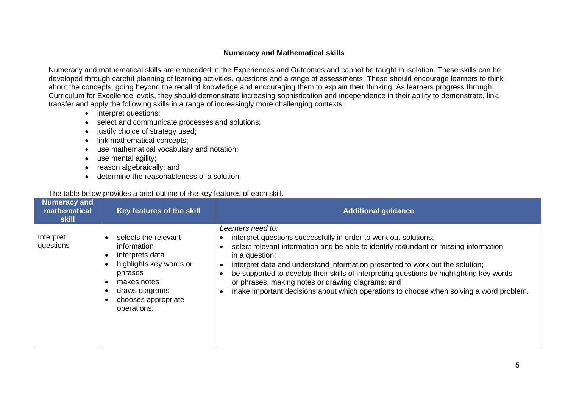#### **Numeracy and Mathematical skills**

Numeracy and mathematical skills are embedded in the Experiences and Outcomes and cannot be taught in isolation. These skills can be developed through careful planning of learning activities, questions and a range of assessments. These should encourage learners to think about the concepts, going beyond the recall of knowledge and encouraging them to explain their thinking. As learners progress through Curriculum for Excellence levels, they should demonstrate increasing sophistication and independence in their ability to demonstrate, link, transfer and apply the following skills in a range of increasingly more challenging contexts:

- interpret questions;
- select and communicate processes and solutions;
- justify choice of strategy used;
- link mathematical concepts:
- use mathematical vocabulary and notation;
- use mental agility;
- reason algebraically; and
- determine the reasonableness of a solution.

#### The table below provides a brief outline of the key features of each skill.

| Numeracy and<br>mathematical<br>skill | <b>Key features of the skill</b>                                                                                                                                    | <b>Additional guidance</b>                                                                                                                                                                                                                                                                                                                                                                                                                                                                                                  |
|---------------------------------------|---------------------------------------------------------------------------------------------------------------------------------------------------------------------|-----------------------------------------------------------------------------------------------------------------------------------------------------------------------------------------------------------------------------------------------------------------------------------------------------------------------------------------------------------------------------------------------------------------------------------------------------------------------------------------------------------------------------|
| Interpret<br>questions                | selects the relevant<br>information<br>interprets data<br>highlights key words or<br>phrases<br>makes notes<br>draws diagrams<br>chooses appropriate<br>operations. | Learners need to:<br>interpret questions successfully in order to work out solutions;<br>select relevant information and be able to identify redundant or missing information<br>in a question;<br>interpret data and understand information presented to work out the solution;<br>be supported to develop their skills of interpreting questions by highlighting key words<br>or phrases, making notes or drawing diagrams; and<br>make important decisions about which operations to choose when solving a word problem. |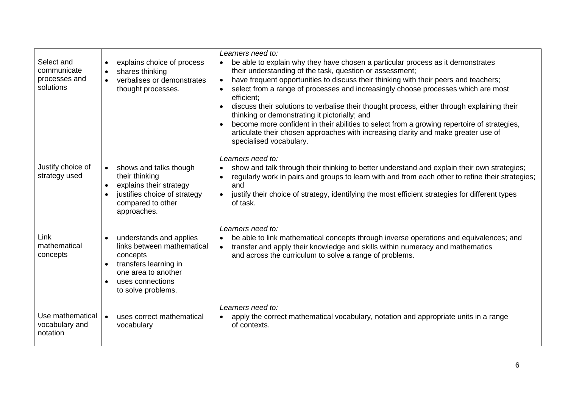| Select and<br>communicate<br>processes and<br>solutions | explains choice of process<br>$\bullet$<br>shares thinking<br>verbalises or demonstrates<br>thought processes.                                                           | Learners need to:<br>be able to explain why they have chosen a particular process as it demonstrates<br>$\bullet$<br>their understanding of the task, question or assessment;<br>have frequent opportunities to discuss their thinking with their peers and teachers;<br>$\bullet$<br>select from a range of processes and increasingly choose processes which are most<br>efficient;<br>discuss their solutions to verbalise their thought process, either through explaining their<br>thinking or demonstrating it pictorially; and<br>become more confident in their abilities to select from a growing repertoire of strategies,<br>articulate their chosen approaches with increasing clarity and make greater use of<br>specialised vocabulary. |
|---------------------------------------------------------|--------------------------------------------------------------------------------------------------------------------------------------------------------------------------|-------------------------------------------------------------------------------------------------------------------------------------------------------------------------------------------------------------------------------------------------------------------------------------------------------------------------------------------------------------------------------------------------------------------------------------------------------------------------------------------------------------------------------------------------------------------------------------------------------------------------------------------------------------------------------------------------------------------------------------------------------|
| Justify choice of<br>strategy used                      | shows and talks though<br>$\bullet$<br>their thinking<br>explains their strategy<br>$\bullet$<br>justifies choice of strategy<br>compared to other<br>approaches.        | Learners need to:<br>show and talk through their thinking to better understand and explain their own strategies;<br>$\bullet$<br>regularly work in pairs and groups to learn with and from each other to refine their strategies;<br>$\bullet$<br>and<br>justify their choice of strategy, identifying the most efficient strategies for different types<br>of task.                                                                                                                                                                                                                                                                                                                                                                                  |
| Link<br>mathematical<br>concepts                        | understands and applies<br>links between mathematical<br>concepts<br>transfers learning in<br>one area to another<br>uses connections<br>$\bullet$<br>to solve problems. | Learners need to:<br>be able to link mathematical concepts through inverse operations and equivalences; and<br>transfer and apply their knowledge and skills within numeracy and mathematics<br>$\bullet$<br>and across the curriculum to solve a range of problems.                                                                                                                                                                                                                                                                                                                                                                                                                                                                                  |
| Use mathematical<br>vocabulary and<br>notation          | uses correct mathematical<br>$\bullet$<br>vocabulary                                                                                                                     | Learners need to:<br>apply the correct mathematical vocabulary, notation and appropriate units in a range<br>$\bullet$<br>of contexts.                                                                                                                                                                                                                                                                                                                                                                                                                                                                                                                                                                                                                |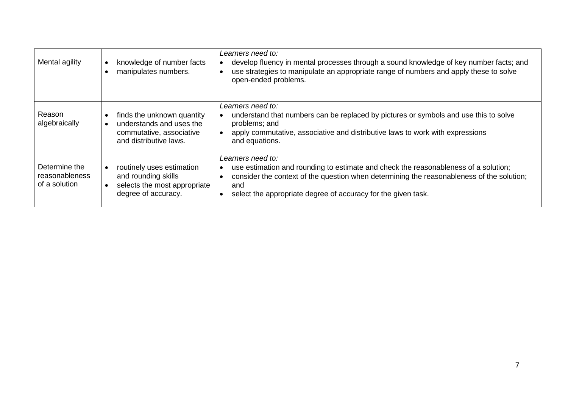| Mental agility                                   | knowledge of number facts<br>$\bullet$<br>manipulates numbers.                                                       | Learners need to:<br>develop fluency in mental processes through a sound knowledge of key number facts; and<br>use strategies to manipulate an appropriate range of numbers and apply these to solve<br>open-ended problems.                                                                                         |
|--------------------------------------------------|----------------------------------------------------------------------------------------------------------------------|----------------------------------------------------------------------------------------------------------------------------------------------------------------------------------------------------------------------------------------------------------------------------------------------------------------------|
| Reason<br>algebraically                          | finds the unknown quantity<br>understands and uses the<br>commutative, associative<br>and distributive laws.         | Learners need to:<br>understand that numbers can be replaced by pictures or symbols and use this to solve<br>problems; and<br>apply commutative, associative and distributive laws to work with expressions<br>and equations.                                                                                        |
| Determine the<br>reasonableness<br>of a solution | routinely uses estimation<br>and rounding skills<br>selects the most appropriate<br>$\bullet$<br>degree of accuracy. | Learners need to:<br>use estimation and rounding to estimate and check the reasonableness of a solution;<br>$\bullet$<br>consider the context of the question when determining the reasonableness of the solution;<br>$\bullet$<br>and<br>select the appropriate degree of accuracy for the given task.<br>$\bullet$ |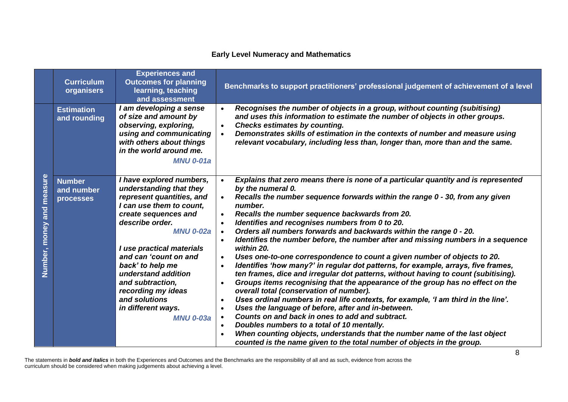## **Early Level Numeracy and Mathematics**

|                                 | <b>Curriculum</b><br>organisers          | <b>Experiences and</b><br><b>Outcomes for planning</b><br>learning, teaching<br>and assessment                                                                                                                                                                                                                                                                                    | Benchmarks to support practitioners' professional judgement of achievement of a level                                                                                                                                                                                                                                                                                                                                                                                                                                                                                                                                                                                                                                                                                                                                                                                                                                                                                                                                                                                                                                                                                                                                                                                                                                                                                            |
|---------------------------------|------------------------------------------|-----------------------------------------------------------------------------------------------------------------------------------------------------------------------------------------------------------------------------------------------------------------------------------------------------------------------------------------------------------------------------------|----------------------------------------------------------------------------------------------------------------------------------------------------------------------------------------------------------------------------------------------------------------------------------------------------------------------------------------------------------------------------------------------------------------------------------------------------------------------------------------------------------------------------------------------------------------------------------------------------------------------------------------------------------------------------------------------------------------------------------------------------------------------------------------------------------------------------------------------------------------------------------------------------------------------------------------------------------------------------------------------------------------------------------------------------------------------------------------------------------------------------------------------------------------------------------------------------------------------------------------------------------------------------------------------------------------------------------------------------------------------------------|
|                                 | <b>Estimation</b><br>and rounding        | I am developing a sense<br>of size and amount by<br>observing, exploring,<br>using and communicating<br>with others about things<br>in the world around me.<br><b>MNU 0-01a</b>                                                                                                                                                                                                   | Recognises the number of objects in a group, without counting (subitising)<br>$\bullet$<br>and uses this information to estimate the number of objects in other groups.<br><b>Checks estimates by counting.</b><br>$\bullet$<br>Demonstrates skills of estimation in the contexts of number and measure using<br>$\bullet$<br>relevant vocabulary, including less than, longer than, more than and the same.                                                                                                                                                                                                                                                                                                                                                                                                                                                                                                                                                                                                                                                                                                                                                                                                                                                                                                                                                                     |
| measure<br>and<br>Number, money | <b>Number</b><br>and number<br>processes | I have explored numbers,<br>understanding that they<br>represent quantities, and<br>I can use them to count,<br>create sequences and<br>describe order.<br><b>MNU 0-02a</b><br>I use practical materials<br>and can 'count on and<br>back' to help me<br>understand addition<br>and subtraction,<br>recording my ideas<br>and solutions<br>in different ways.<br><b>MNU 0-03a</b> | Explains that zero means there is none of a particular quantity and is represented<br>by the numeral 0.<br>Recalls the number sequence forwards within the range 0 - 30, from any given<br>number.<br>Recalls the number sequence backwards from 20.<br>$\bullet$<br>Identifies and recognises numbers from 0 to 20.<br>$\bullet$<br>Orders all numbers forwards and backwards within the range 0 - 20.<br>$\bullet$<br>Identifies the number before, the number after and missing numbers in a sequence<br>$\bullet$<br>within 20.<br>Uses one-to-one correspondence to count a given number of objects to 20.<br>$\bullet$<br>Identifies 'how many?' in regular dot patterns, for example, arrays, five frames,<br>ten frames, dice and irregular dot patterns, without having to count (subitising).<br>Groups items recognising that the appearance of the group has no effect on the<br>$\bullet$<br>overall total (conservation of number).<br>Uses ordinal numbers in real life contexts, for example, 'I am third in the line'.<br>$\bullet$<br>Uses the language of before, after and in-between.<br>$\bullet$<br>Counts on and back in ones to add and subtract.<br>Doubles numbers to a total of 10 mentally.<br>When counting objects, understands that the number name of the last object<br>counted is the name given to the total number of objects in the group. |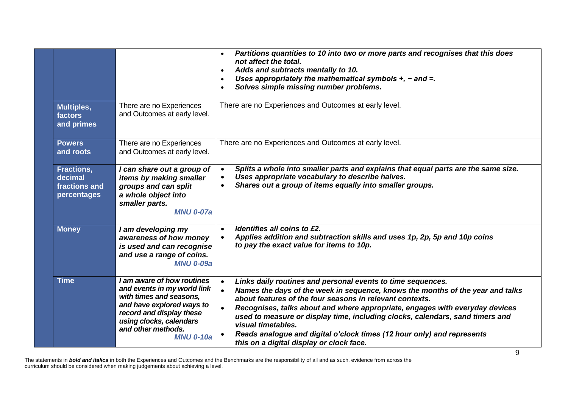|                                                       |                                                                                                                                                                                                                    | Partitions quantities to 10 into two or more parts and recognises that this does<br>$\bullet$<br>not affect the total.<br>Adds and subtracts mentally to 10.<br>$\bullet$<br>Uses appropriately the mathematical symbols $+$ , $-$ and $=$ .<br>$\bullet$<br>Solves simple missing number problems.<br>$\bullet$                                                                                                                                                                                                                                 |
|-------------------------------------------------------|--------------------------------------------------------------------------------------------------------------------------------------------------------------------------------------------------------------------|--------------------------------------------------------------------------------------------------------------------------------------------------------------------------------------------------------------------------------------------------------------------------------------------------------------------------------------------------------------------------------------------------------------------------------------------------------------------------------------------------------------------------------------------------|
| Multiples,<br>factors<br>and primes                   | There are no Experiences<br>and Outcomes at early level.                                                                                                                                                           | There are no Experiences and Outcomes at early level.                                                                                                                                                                                                                                                                                                                                                                                                                                                                                            |
| <b>Powers</b><br>and roots                            | There are no Experiences<br>and Outcomes at early level.                                                                                                                                                           | There are no Experiences and Outcomes at early level.                                                                                                                                                                                                                                                                                                                                                                                                                                                                                            |
| Fractions,<br>decimal<br>fractions and<br>percentages | I can share out a group of<br>items by making smaller<br>groups and can split<br>a whole object into<br>smaller parts.<br><b>MNU 0-07a</b>                                                                         | Splits a whole into smaller parts and explains that equal parts are the same size.<br>$\bullet$<br>Uses appropriate vocabulary to describe halves.<br>$\bullet$<br>Shares out a group of items equally into smaller groups.<br>$\bullet$                                                                                                                                                                                                                                                                                                         |
| <b>Money</b>                                          | I am developing my<br>awareness of how money<br>is used and can recognise<br>and use a range of coins.<br><b>MNU 0-09a</b>                                                                                         | Identifies all coins to £2.<br>$\bullet$<br>Applies addition and subtraction skills and uses 1p, 2p, 5p and 10p coins<br>$\bullet$<br>to pay the exact value for items to 10p.                                                                                                                                                                                                                                                                                                                                                                   |
| <b>Time</b>                                           | I am aware of how routines<br>and events in my world link<br>with times and seasons,<br>and have explored ways to<br>record and display these<br>using clocks, calendars<br>and other methods.<br><b>MNU 0-10a</b> | Links daily routines and personal events to time sequences.<br>$\bullet$<br>Names the days of the week in sequence, knows the months of the year and talks<br>about features of the four seasons in relevant contexts.<br>Recognises, talks about and where appropriate, engages with everyday devices<br>$\bullet$<br>used to measure or display time, including clocks, calendars, sand timers and<br>visual timetables.<br>Reads analogue and digital o'clock times (12 hour only) and represents<br>this on a digital display or clock face. |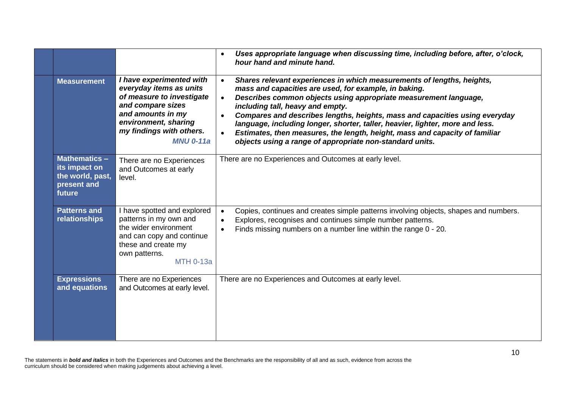|                                                                                    |                                                                                                                                                                                                    | Uses appropriate language when discussing time, including before, after, o'clock,<br>$\bullet$<br>hour hand and minute hand.                                                                                                                                                                                                                                                                                                                                                                                                                                                              |
|------------------------------------------------------------------------------------|----------------------------------------------------------------------------------------------------------------------------------------------------------------------------------------------------|-------------------------------------------------------------------------------------------------------------------------------------------------------------------------------------------------------------------------------------------------------------------------------------------------------------------------------------------------------------------------------------------------------------------------------------------------------------------------------------------------------------------------------------------------------------------------------------------|
| <b>Measurement</b>                                                                 | I have experimented with<br>everyday items as units<br>of measure to investigate<br>and compare sizes<br>and amounts in my<br>environment, sharing<br>my findings with others.<br><b>MNU 0-11a</b> | Shares relevant experiences in which measurements of lengths, heights,<br>$\bullet$<br>mass and capacities are used, for example, in baking.<br>Describes common objects using appropriate measurement language,<br>$\bullet$<br>including tall, heavy and empty.<br>Compares and describes lengths, heights, mass and capacities using everyday<br>$\bullet$<br>language, including longer, shorter, taller, heavier, lighter, more and less.<br>Estimates, then measures, the length, height, mass and capacity of familiar<br>objects using a range of appropriate non-standard units. |
| <b>Mathematics -</b><br>its impact on<br>the world, past,<br>present and<br>future | There are no Experiences<br>and Outcomes at early<br>level.                                                                                                                                        | There are no Experiences and Outcomes at early level.                                                                                                                                                                                                                                                                                                                                                                                                                                                                                                                                     |
| <b>Patterns and</b><br>relationships                                               | have spotted and explored<br>patterns in my own and<br>the wider environment<br>and can copy and continue<br>these and create my<br>own patterns.<br><b>MTH 0-13a</b>                              | Copies, continues and creates simple patterns involving objects, shapes and numbers.<br>$\bullet$<br>Explores, recognises and continues simple number patterns.<br>$\bullet$<br>Finds missing numbers on a number line within the range 0 - 20.<br>$\bullet$                                                                                                                                                                                                                                                                                                                              |
| <b>Expressions</b><br>and equations                                                | There are no Experiences<br>and Outcomes at early level.                                                                                                                                           | There are no Experiences and Outcomes at early level.                                                                                                                                                                                                                                                                                                                                                                                                                                                                                                                                     |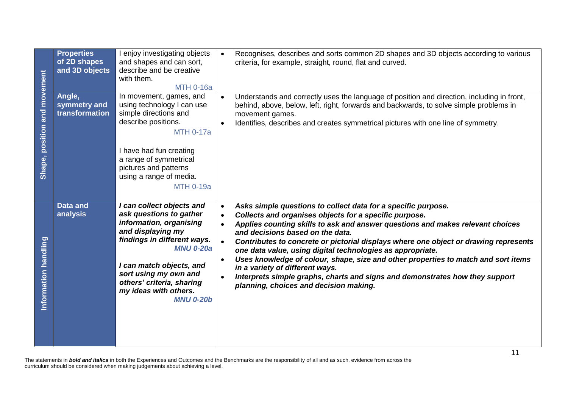|                              | <b>Properties</b><br>of 2D shapes<br>and 3D objects                                                                                                                                                                                                     | I enjoy investigating objects<br>and shapes and can sort,<br>describe and be creative<br>with them.<br><b>MTH 0-16a</b>                                                                                                                                                                | Recognises, describes and sorts common 2D shapes and 3D objects according to various<br>$\bullet$<br>criteria, for example, straight, round, flat and curved.                                                                                                                                                                                                                                                                                                                                                                                                                                                                                                                                                                        |  |
|------------------------------|---------------------------------------------------------------------------------------------------------------------------------------------------------------------------------------------------------------------------------------------------------|----------------------------------------------------------------------------------------------------------------------------------------------------------------------------------------------------------------------------------------------------------------------------------------|--------------------------------------------------------------------------------------------------------------------------------------------------------------------------------------------------------------------------------------------------------------------------------------------------------------------------------------------------------------------------------------------------------------------------------------------------------------------------------------------------------------------------------------------------------------------------------------------------------------------------------------------------------------------------------------------------------------------------------------|--|
| Shape, position and movement | Angle,<br>symmetry and<br>transformation                                                                                                                                                                                                                | In movement, games, and<br>using technology I can use<br>simple directions and<br>describe positions.<br><b>MTH 0-17a</b><br>I have had fun creating<br>a range of symmetrical<br>pictures and patterns<br>using a range of media.<br><b>MTH 0-19a</b>                                 | Understands and correctly uses the language of position and direction, including in front,<br>$\bullet$<br>behind, above, below, left, right, forwards and backwards, to solve simple problems in<br>movement games.<br>Identifies, describes and creates symmetrical pictures with one line of symmetry.<br>$\bullet$                                                                                                                                                                                                                                                                                                                                                                                                               |  |
| Information handling         | Data and<br>analysis                                                                                                                                                                                                                                    | I can collect objects and<br>ask questions to gather<br>information, organising<br>and displaying my<br>findings in different ways.<br><b>MNU 0-20a</b><br>I can match objects, and<br>sort using my own and<br>others' criteria, sharing<br>my ideas with others.<br><b>MNU 0-20b</b> | Asks simple questions to collect data for a specific purpose.<br>$\bullet$<br>Collects and organises objects for a specific purpose.<br>$\bullet$<br>Applies counting skills to ask and answer questions and makes relevant choices<br>$\bullet$<br>and decisions based on the data.<br>Contributes to concrete or pictorial displays where one object or drawing represents<br>$\bullet$<br>one data value, using digital technologies as appropriate.<br>Uses knowledge of colour, shape, size and other properties to match and sort items<br>$\bullet$<br>in a variety of different ways.<br>Interprets simple graphs, charts and signs and demonstrates how they support<br>$\bullet$<br>planning, choices and decision making. |  |
|                              | 11<br>The statements in bold and italics in both the Experiences and Outcomes and the Benchmarks are the responsibility of all and as such, evidence from across the<br>curriculum should be considered when making judgements about achieving a level. |                                                                                                                                                                                                                                                                                        |                                                                                                                                                                                                                                                                                                                                                                                                                                                                                                                                                                                                                                                                                                                                      |  |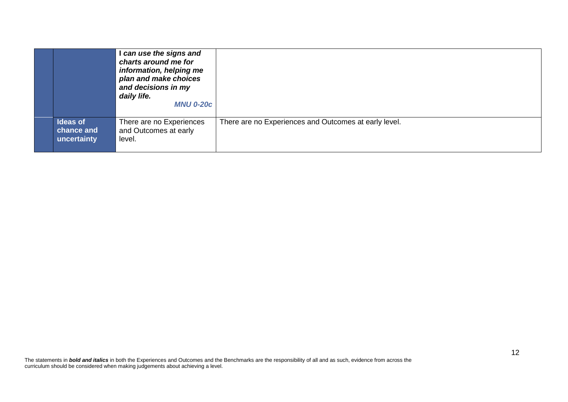|                                              | I can use the signs and<br>charts around me for<br>information, helping me<br>plan and make choices<br>and decisions in my<br>daily life.<br><b>MNU 0-20c</b> |                                                       |
|----------------------------------------------|---------------------------------------------------------------------------------------------------------------------------------------------------------------|-------------------------------------------------------|
| <b>Ideas of</b><br>chance and<br>uncertainty | There are no Experiences<br>and Outcomes at early<br>level.                                                                                                   | There are no Experiences and Outcomes at early level. |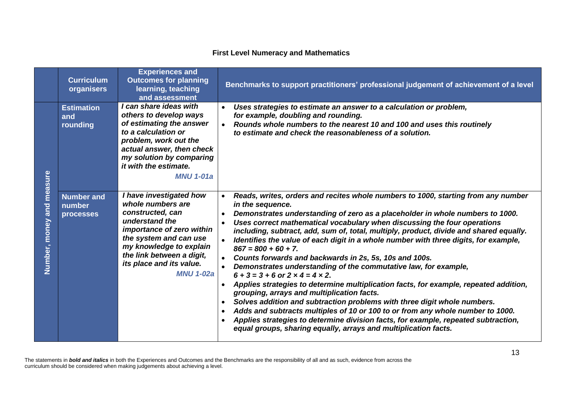## **First Level Numeracy and Mathematics**

|                         | <b>Curriculum</b><br>organisers          | <b>Experiences and</b><br><b>Outcomes for planning</b><br>learning, teaching<br>and assessment                                                                                                                                                    | Benchmarks to support practitioners' professional judgement of achievement of a level                                                                                                                                                                                                                                                                                                                                                                                                                                                                                                                                                                                                                                                                                                                                                                                                                                                                                                                                                                                                                                                    |
|-------------------------|------------------------------------------|---------------------------------------------------------------------------------------------------------------------------------------------------------------------------------------------------------------------------------------------------|------------------------------------------------------------------------------------------------------------------------------------------------------------------------------------------------------------------------------------------------------------------------------------------------------------------------------------------------------------------------------------------------------------------------------------------------------------------------------------------------------------------------------------------------------------------------------------------------------------------------------------------------------------------------------------------------------------------------------------------------------------------------------------------------------------------------------------------------------------------------------------------------------------------------------------------------------------------------------------------------------------------------------------------------------------------------------------------------------------------------------------------|
| measure                 | <b>Estimation</b><br>and<br>rounding     | I can share ideas with<br>others to develop ways<br>of estimating the answer<br>to a calculation or<br>problem, work out the<br>actual answer, then check<br>my solution by comparing<br>it with the estimate.<br><b>MNU 1-01a</b>                | Uses strategies to estimate an answer to a calculation or problem,<br>for example, doubling and rounding.<br>Rounds whole numbers to the nearest 10 and 100 and uses this routinely<br>to estimate and check the reasonableness of a solution.                                                                                                                                                                                                                                                                                                                                                                                                                                                                                                                                                                                                                                                                                                                                                                                                                                                                                           |
| and<br>money<br>Number, | <b>Number and</b><br>number<br>processes | I have investigated how<br>whole numbers are<br>constructed, can<br>understand the<br>importance of zero within<br>the system and can use<br>my knowledge to explain<br>the link between a digit,<br>its place and its value.<br><b>MNU 1-02a</b> | Reads, writes, orders and recites whole numbers to 1000, starting from any number<br>in the sequence.<br>Demonstrates understanding of zero as a placeholder in whole numbers to 1000.<br>Uses correct mathematical vocabulary when discussing the four operations<br>including, subtract, add, sum of, total, multiply, product, divide and shared equally.<br>Identifies the value of each digit in a whole number with three digits, for example,<br>$867 = 800 + 60 + 7$ .<br>Counts forwards and backwards in 2s, 5s, 10s and 100s.<br>Demonstrates understanding of the commutative law, for example,<br>$6 + 3 = 3 + 6$ or $2 \times 4 = 4 \times 2$ .<br>Applies strategies to determine multiplication facts, for example, repeated addition,<br>grouping, arrays and multiplication facts.<br>Solves addition and subtraction problems with three digit whole numbers.<br>$\bullet$<br>Adds and subtracts multiples of 10 or 100 to or from any whole number to 1000.<br>Applies strategies to determine division facts, for example, repeated subtraction,<br>equal groups, sharing equally, arrays and multiplication facts. |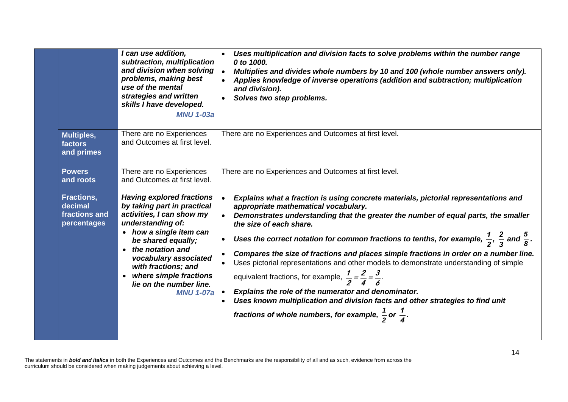|                                                       | I can use addition,<br>subtraction, multiplication<br>and division when solving<br>problems, making best<br>use of the mental<br>strategies and written<br>skills I have developed.<br><b>MNU 1-03a</b>                                                                                                         | Uses multiplication and division facts to solve problems within the number range<br>0 to 1000.<br>Multiplies and divides whole numbers by 10 and 100 (whole number answers only).<br>Applies knowledge of inverse operations (addition and subtraction; multiplication<br>and division).<br>Solves two step problems.                                                                                                                                                                                                                                                                                                                                                                                                                                                                                                                                                                         |
|-------------------------------------------------------|-----------------------------------------------------------------------------------------------------------------------------------------------------------------------------------------------------------------------------------------------------------------------------------------------------------------|-----------------------------------------------------------------------------------------------------------------------------------------------------------------------------------------------------------------------------------------------------------------------------------------------------------------------------------------------------------------------------------------------------------------------------------------------------------------------------------------------------------------------------------------------------------------------------------------------------------------------------------------------------------------------------------------------------------------------------------------------------------------------------------------------------------------------------------------------------------------------------------------------|
| <b>Multiples,</b><br>factors<br>and primes            | There are no Experiences<br>and Outcomes at first level.                                                                                                                                                                                                                                                        | There are no Experiences and Outcomes at first level.                                                                                                                                                                                                                                                                                                                                                                                                                                                                                                                                                                                                                                                                                                                                                                                                                                         |
| <b>Powers</b><br>and roots                            | There are no Experiences<br>and Outcomes at first level.                                                                                                                                                                                                                                                        | There are no Experiences and Outcomes at first level.                                                                                                                                                                                                                                                                                                                                                                                                                                                                                                                                                                                                                                                                                                                                                                                                                                         |
| Fractions,<br>decimal<br>fractions and<br>percentages | <b>Having explored fractions</b><br>by taking part in practical<br>activities, I can show my<br>understanding of:<br>• how a single item can<br>be shared equally;<br>the notation and<br>vocabulary associated<br>with fractions; and<br>where simple fractions<br>lie on the number line.<br><b>MNU 1-07a</b> | Explains what a fraction is using concrete materials, pictorial representations and<br>appropriate mathematical vocabulary.<br>Demonstrates understanding that the greater the number of equal parts, the smaller<br>the size of each share.<br>Uses the correct notation for common fractions to tenths, for example, $\frac{1}{2}$ , $\frac{2}{3}$ and $\frac{5}{8}$ .<br>$\bullet$<br>Compares the size of fractions and places simple fractions in order on a number line.<br>Uses pictorial representations and other models to demonstrate understanding of simple<br>equivalent fractions, for example, $\frac{1}{2} = \frac{2}{4} = \frac{3}{6}$ .<br>Explains the role of the numerator and denominator.<br>$\bullet$<br>Uses known multiplication and division facts and other strategies to find unit<br>fractions of whole numbers, for example, $\frac{1}{2}$ or $\frac{1}{4}$ . |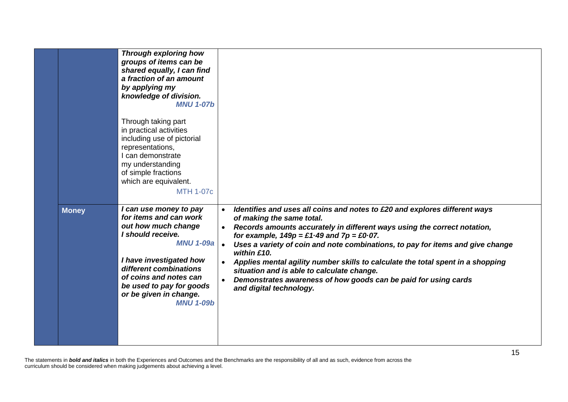|              | <b>Through exploring how</b><br>groups of items can be<br>shared equally, I can find<br>a fraction of an amount<br>by applying my<br>knowledge of division.<br><b>MNU 1-07b</b>                                                                                           |                                                                                                                                                                                                                                                                                                                                                                                                                                                                                                                                                                                   |
|--------------|---------------------------------------------------------------------------------------------------------------------------------------------------------------------------------------------------------------------------------------------------------------------------|-----------------------------------------------------------------------------------------------------------------------------------------------------------------------------------------------------------------------------------------------------------------------------------------------------------------------------------------------------------------------------------------------------------------------------------------------------------------------------------------------------------------------------------------------------------------------------------|
|              | Through taking part<br>in practical activities<br>including use of pictorial<br>representations,<br>I can demonstrate<br>my understanding<br>of simple fractions<br>which are equivalent.<br><b>MTH 1-07c</b>                                                             |                                                                                                                                                                                                                                                                                                                                                                                                                                                                                                                                                                                   |
| <b>Money</b> | I can use money to pay<br>for items and can work<br>out how much change<br>I should receive.<br><b>MNU 1-09a</b><br>I have investigated how<br>different combinations<br>of coins and notes can<br>be used to pay for goods<br>or be given in change.<br><b>MNU 1-09b</b> | Identifies and uses all coins and notes to £20 and explores different ways<br>of making the same total.<br>Records amounts accurately in different ways using the correct notation,<br>for example, $149p = \pounds1.49$ and $7p = \pounds0.07$ .<br>Uses a variety of coin and note combinations, to pay for items and give change<br>within £10.<br>Applies mental agility number skills to calculate the total spent in a shopping<br>situation and is able to calculate change.<br>Demonstrates awareness of how goods can be paid for using cards<br>and digital technology. |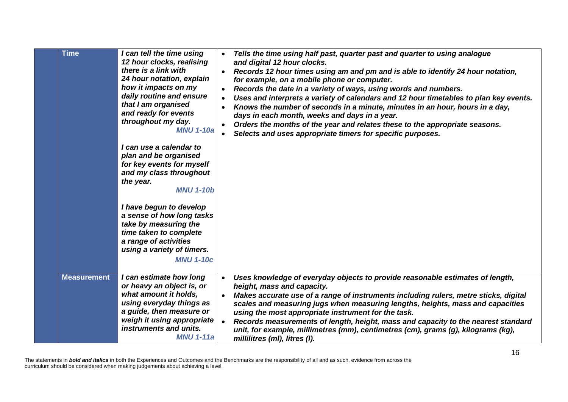| <b>Time</b>        | I can tell the time using<br>12 hour clocks, realising<br>there is a link with<br>24 hour notation, explain<br>how it impacts on my<br>daily routine and ensure<br>that I am organised<br>and ready for events<br>throughout my day.<br><b>MNU 1-10a</b><br>I can use a calendar to<br>plan and be organised<br>for key events for myself<br>and my class throughout<br>the year.<br><b>MNU 1-10b</b> | Tells the time using half past, quarter past and quarter to using analogue<br>and digital 12 hour clocks.<br>Records 12 hour times using am and pm and is able to identify 24 hour notation,<br>for example, on a mobile phone or computer.<br>Records the date in a variety of ways, using words and numbers.<br>Uses and interprets a variety of calendars and 12 hour timetables to plan key events.<br>Knows the number of seconds in a minute, minutes in an hour, hours in a day,<br>days in each month, weeks and days in a year.<br>Orders the months of the year and relates these to the appropriate seasons.<br>Selects and uses appropriate timers for specific purposes. |  |
|--------------------|-------------------------------------------------------------------------------------------------------------------------------------------------------------------------------------------------------------------------------------------------------------------------------------------------------------------------------------------------------------------------------------------------------|---------------------------------------------------------------------------------------------------------------------------------------------------------------------------------------------------------------------------------------------------------------------------------------------------------------------------------------------------------------------------------------------------------------------------------------------------------------------------------------------------------------------------------------------------------------------------------------------------------------------------------------------------------------------------------------|--|
|                    | I have begun to develop<br>a sense of how long tasks<br>take by measuring the<br>time taken to complete<br>a range of activities<br>using a variety of timers.<br><b>MNU 1-10c</b>                                                                                                                                                                                                                    |                                                                                                                                                                                                                                                                                                                                                                                                                                                                                                                                                                                                                                                                                       |  |
| <b>Measurement</b> | I can estimate how long<br>or heavy an object is, or<br>what amount it holds,<br>using everyday things as<br>a guide, then measure or<br>weigh it using appropriate<br>instruments and units.<br><b>MNU 1-11a</b>                                                                                                                                                                                     | Uses knowledge of everyday objects to provide reasonable estimates of length,<br>height, mass and capacity.<br>Makes accurate use of a range of instruments including rulers, metre sticks, digital<br>scales and measuring jugs when measuring lengths, heights, mass and capacities<br>using the most appropriate instrument for the task.<br>Records measurements of length, height, mass and capacity to the nearest standard<br>unit, for example, millimetres (mm), centimetres (cm), grams (g), kilograms (kg),<br>millilitres (ml), litres (l).                                                                                                                               |  |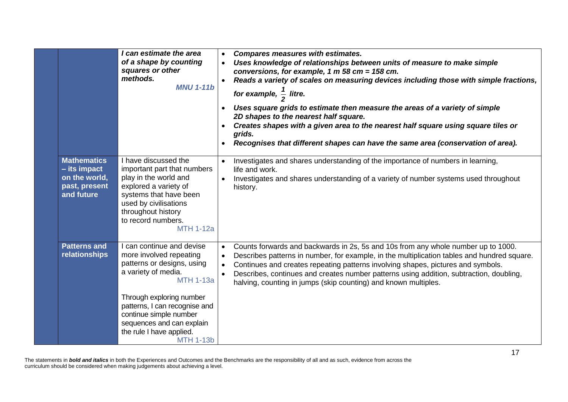|                                                                                    | I can estimate the area<br>of a shape by counting<br>squares or other<br>methods.<br><b>MNU 1-11b</b>                                                                                                                                                                                             | <b>Compares measures with estimates.</b><br>Uses knowledge of relationships between units of measure to make simple<br>conversions, for example, 1 m 58 cm = $158$ cm.<br>Reads a variety of scales on measuring devices including those with simple fractions,<br>for example, $\frac{1}{2}$ litre.<br>Uses square grids to estimate then measure the areas of a variety of simple<br>2D shapes to the nearest half square.<br>Creates shapes with a given area to the nearest half square using square tiles or<br>grids.<br>Recognises that different shapes can have the same area (conservation of area). |  |
|------------------------------------------------------------------------------------|---------------------------------------------------------------------------------------------------------------------------------------------------------------------------------------------------------------------------------------------------------------------------------------------------|----------------------------------------------------------------------------------------------------------------------------------------------------------------------------------------------------------------------------------------------------------------------------------------------------------------------------------------------------------------------------------------------------------------------------------------------------------------------------------------------------------------------------------------------------------------------------------------------------------------|--|
| <b>Mathematics</b><br>- its impact<br>on the world,<br>past, present<br>and future | I have discussed the<br>important part that numbers<br>play in the world and<br>explored a variety of<br>systems that have been<br>used by civilisations<br>throughout history<br>to record numbers.<br><b>MTH 1-12a</b>                                                                          | Investigates and shares understanding of the importance of numbers in learning,<br>life and work.<br>Investigates and shares understanding of a variety of number systems used throughout<br>history.                                                                                                                                                                                                                                                                                                                                                                                                          |  |
| <b>Patterns and</b><br>relationships                                               | I can continue and devise<br>more involved repeating<br>patterns or designs, using<br>a variety of media.<br><b>MTH 1-13a</b><br>Through exploring number<br>patterns, I can recognise and<br>continue simple number<br>sequences and can explain<br>the rule I have applied.<br><b>MTH 1-13b</b> | Counts forwards and backwards in 2s, 5s and 10s from any whole number up to 1000.<br>Describes patterns in number, for example, in the multiplication tables and hundred square.<br>Continues and creates repeating patterns involving shapes, pictures and symbols.<br>Describes, continues and creates number patterns using addition, subtraction, doubling,<br>halving, counting in jumps (skip counting) and known multiples.                                                                                                                                                                             |  |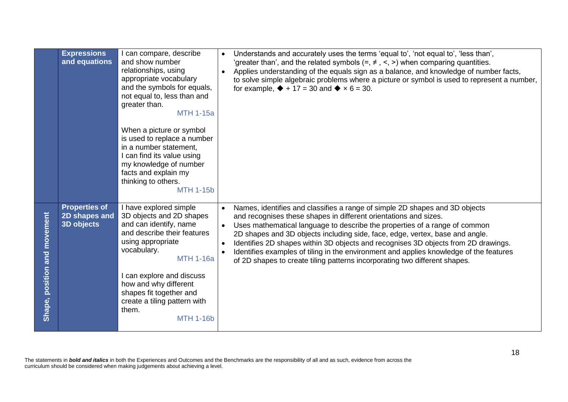|                              | <b>Expressions</b><br>and equations                 | I can compare, describe<br>and show number<br>relationships, using<br>appropriate vocabulary<br>and the symbols for equals,<br>not equal to, less than and<br>greater than.<br><b>MTH 1-15a</b><br>When a picture or symbol<br>is used to replace a number<br>in a number statement,<br>I can find its value using<br>my knowledge of number<br>facts and explain my<br>thinking to others.<br><b>MTH 1-15b</b> |           | Understands and accurately uses the terms 'equal to', 'not equal to', 'less than',<br>'greater than', and the related symbols $(=, \neq, <, >)$ when comparing quantities.<br>Applies understanding of the equals sign as a balance, and knowledge of number facts,<br>to solve simple algebraic problems where a picture or symbol is used to represent a number,<br>for example, $\blacklozenge$ + 17 = 30 and $\blacklozenge$ x 6 = 30.                                                                                                                                  |
|------------------------------|-----------------------------------------------------|-----------------------------------------------------------------------------------------------------------------------------------------------------------------------------------------------------------------------------------------------------------------------------------------------------------------------------------------------------------------------------------------------------------------|-----------|-----------------------------------------------------------------------------------------------------------------------------------------------------------------------------------------------------------------------------------------------------------------------------------------------------------------------------------------------------------------------------------------------------------------------------------------------------------------------------------------------------------------------------------------------------------------------------|
| Shape, position and movement | <b>Properties of</b><br>2D shapes and<br>3D objects | I have explored simple<br>3D objects and 2D shapes<br>and can identify, name<br>and describe their features<br>using appropriate<br>vocabulary.<br><b>MTH 1-16a</b><br>I can explore and discuss<br>how and why different<br>shapes fit together and<br>create a tiling pattern with<br>them.<br><b>MTH 1-16b</b>                                                                                               | $\bullet$ | Names, identifies and classifies a range of simple 2D shapes and 3D objects<br>and recognises these shapes in different orientations and sizes.<br>Uses mathematical language to describe the properties of a range of common<br>2D shapes and 3D objects including side, face, edge, vertex, base and angle.<br>Identifies 2D shapes within 3D objects and recognises 3D objects from 2D drawings.<br>Identifies examples of tiling in the environment and applies knowledge of the features<br>of 2D shapes to create tiling patterns incorporating two different shapes. |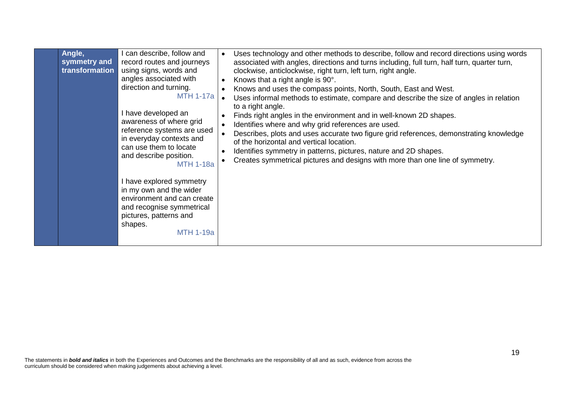| Angle,<br>symmetry and<br>transformation | can describe, follow and<br>record routes and journeys<br>using signs, words and<br>angles associated with<br>direction and turning.<br><b>MTH 1-17a</b><br>I have developed an<br>awareness of where grid<br>reference systems are used<br>in everyday contexts and<br>can use them to locate<br>and describe position.<br><b>MTH 1-18a</b> | Uses technology and other methods to describe, follow and record directions using words<br>$\bullet$<br>associated with angles, directions and turns including, full turn, half turn, quarter turn,<br>clockwise, anticlockwise, right turn, left turn, right angle.<br>Knows that a right angle is 90°.<br>Knows and uses the compass points, North, South, East and West.<br>Uses informal methods to estimate, compare and describe the size of angles in relation<br>to a right angle.<br>Finds right angles in the environment and in well-known 2D shapes.<br>Identifies where and why grid references are used.<br>Describes, plots and uses accurate two figure grid references, demonstrating knowledge<br>of the horizontal and vertical location.<br>Identifies symmetry in patterns, pictures, nature and 2D shapes.<br>Creates symmetrical pictures and designs with more than one line of symmetry. |
|------------------------------------------|----------------------------------------------------------------------------------------------------------------------------------------------------------------------------------------------------------------------------------------------------------------------------------------------------------------------------------------------|-------------------------------------------------------------------------------------------------------------------------------------------------------------------------------------------------------------------------------------------------------------------------------------------------------------------------------------------------------------------------------------------------------------------------------------------------------------------------------------------------------------------------------------------------------------------------------------------------------------------------------------------------------------------------------------------------------------------------------------------------------------------------------------------------------------------------------------------------------------------------------------------------------------------|
|                                          | I have explored symmetry<br>in my own and the wider<br>environment and can create<br>and recognise symmetrical<br>pictures, patterns and<br>shapes.<br><b>MTH 1-19a</b>                                                                                                                                                                      |                                                                                                                                                                                                                                                                                                                                                                                                                                                                                                                                                                                                                                                                                                                                                                                                                                                                                                                   |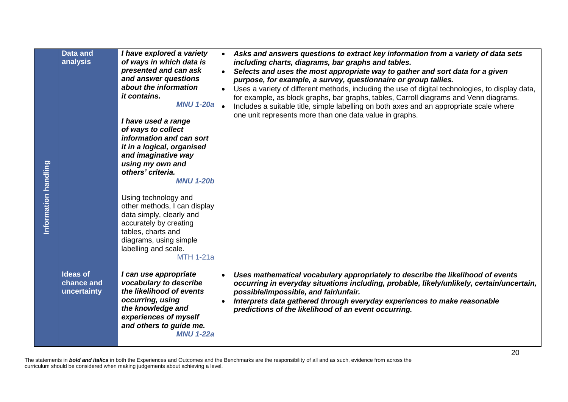| Information handling | <b>Data and</b><br>analysis                  | I have explored a variety<br>of ways in which data is<br>presented and can ask<br>and answer questions<br>about the information<br><i>it contains.</i><br><b>MNU 1-20a</b><br>I have used a range<br>of ways to collect<br>information and can sort<br>it in a logical, organised<br>and imaginative way<br>using my own and<br>others' criteria.<br><b>MNU 1-20b</b><br>Using technology and<br>other methods, I can display<br>data simply, clearly and<br>accurately by creating<br>tables, charts and<br>diagrams, using simple<br>labelling and scale.<br><b>MTH 1-21a</b> | Asks and answers questions to extract key information from a variety of data sets<br>$\bullet$<br>including charts, diagrams, bar graphs and tables.<br>Selects and uses the most appropriate way to gather and sort data for a given<br>$\bullet$<br>purpose, for example, a survey, questionnaire or group tallies.<br>Uses a variety of different methods, including the use of digital technologies, to display data,<br>$\bullet$<br>for example, as block graphs, bar graphs, tables, Carroll diagrams and Venn diagrams.<br>Includes a suitable title, simple labelling on both axes and an appropriate scale where<br>one unit represents more than one data value in graphs. |
|----------------------|----------------------------------------------|---------------------------------------------------------------------------------------------------------------------------------------------------------------------------------------------------------------------------------------------------------------------------------------------------------------------------------------------------------------------------------------------------------------------------------------------------------------------------------------------------------------------------------------------------------------------------------|---------------------------------------------------------------------------------------------------------------------------------------------------------------------------------------------------------------------------------------------------------------------------------------------------------------------------------------------------------------------------------------------------------------------------------------------------------------------------------------------------------------------------------------------------------------------------------------------------------------------------------------------------------------------------------------|
|                      | <b>Ideas of</b><br>chance and<br>uncertainty | I can use appropriate<br>vocabulary to describe<br>the likelihood of events<br>occurring, using<br>the knowledge and<br>experiences of myself<br>and others to guide me.<br><b>MNU 1-22a</b>                                                                                                                                                                                                                                                                                                                                                                                    | Uses mathematical vocabulary appropriately to describe the likelihood of events<br>$\bullet$<br>occurring in everyday situations including, probable, likely/unlikely, certain/uncertain,<br>possible/impossible, and fair/unfair.<br>Interprets data gathered through everyday experiences to make reasonable<br>$\bullet$<br>predictions of the likelihood of an event occurring.                                                                                                                                                                                                                                                                                                   |
|                      |                                              | curriculum should be considered when making judgements about achieving a level.                                                                                                                                                                                                                                                                                                                                                                                                                                                                                                 | 20<br>The statements in bold and italics in both the Experiences and Outcomes and the Benchmarks are the responsibility of all and as such, evidence from across the                                                                                                                                                                                                                                                                                                                                                                                                                                                                                                                  |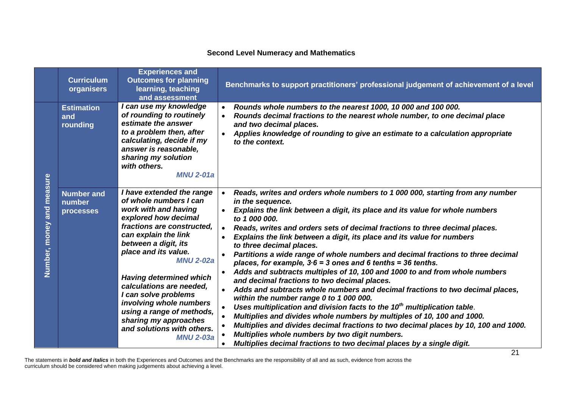## **Second Level Numeracy and Mathematics**

|                                 | <b>Curriculum</b><br>organisers                 | <b>Experiences and</b><br><b>Outcomes for planning</b><br>learning, teaching<br>and assessment                                                                                                                                                                                                                                                                                                                                                         | Benchmarks to support practitioners' professional judgement of achievement of a level                                                                                                                                                                                                                                                                                                                                                                                                                                                                                                                                                                                                                                                                                                                                                                                                                                                                                                                                                                                                                                                                                                     |
|---------------------------------|-------------------------------------------------|--------------------------------------------------------------------------------------------------------------------------------------------------------------------------------------------------------------------------------------------------------------------------------------------------------------------------------------------------------------------------------------------------------------------------------------------------------|-------------------------------------------------------------------------------------------------------------------------------------------------------------------------------------------------------------------------------------------------------------------------------------------------------------------------------------------------------------------------------------------------------------------------------------------------------------------------------------------------------------------------------------------------------------------------------------------------------------------------------------------------------------------------------------------------------------------------------------------------------------------------------------------------------------------------------------------------------------------------------------------------------------------------------------------------------------------------------------------------------------------------------------------------------------------------------------------------------------------------------------------------------------------------------------------|
|                                 | <b>Estimation</b><br>and<br>rounding            | I can use my knowledge<br>of rounding to routinely<br>estimate the answer<br>to a problem then, after<br>calculating, decide if my<br>answer is reasonable,<br>sharing my solution<br>with others.<br><b>MNU 2-01a</b>                                                                                                                                                                                                                                 | Rounds whole numbers to the nearest 1000, 10 000 and 100 000.<br>Rounds decimal fractions to the nearest whole number, to one decimal place<br>and two decimal places.<br>Applies knowledge of rounding to give an estimate to a calculation appropriate<br>to the context.                                                                                                                                                                                                                                                                                                                                                                                                                                                                                                                                                                                                                                                                                                                                                                                                                                                                                                               |
| measure<br>and<br>Number, money | <b>Number and</b><br>number<br><b>processes</b> | I have extended the range<br>of whole numbers I can<br>work with and having<br>explored how decimal<br>fractions are constructed.<br>can explain the link<br>between a digit, its<br>place and its value.<br><b>MNU 2-02a</b><br><b>Having determined which</b><br>calculations are needed,<br>I can solve problems<br>involving whole numbers<br>using a range of methods,<br>sharing my approaches<br>and solutions with others.<br><b>MNU 2-03a</b> | Reads, writes and orders whole numbers to 1 000 000, starting from any number<br>in the sequence.<br>Explains the link between a digit, its place and its value for whole numbers<br>to 1 000 000.<br>Reads, writes and orders sets of decimal fractions to three decimal places.<br>Explains the link between a digit, its place and its value for numbers<br>to three decimal places.<br>Partitions a wide range of whole numbers and decimal fractions to three decimal<br>places, for example, $3.6 = 3$ ones and 6 tenths = 36 tenths.<br>Adds and subtracts multiples of 10, 100 and 1000 to and from whole numbers<br>and decimal fractions to two decimal places.<br>Adds and subtracts whole numbers and decimal fractions to two decimal places,<br>within the number range 0 to 1 000 000.<br>Uses multiplication and division facts to the 10 <sup>th</sup> multiplication table.<br>Multiplies and divides whole numbers by multiples of 10, 100 and 1000.<br>Multiplies and divides decimal fractions to two decimal places by 10, 100 and 1000.<br>Multiplies whole numbers by two digit numbers.<br>Multiplies decimal fractions to two decimal places by a single digit. |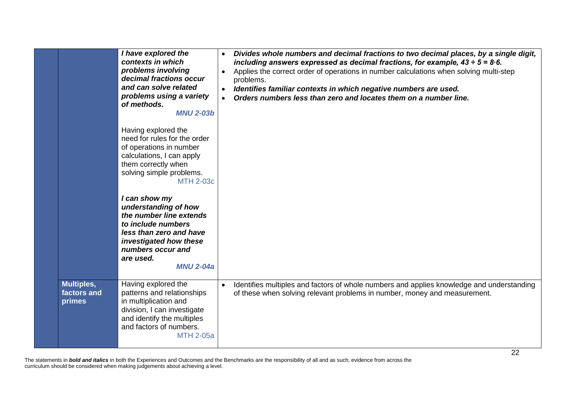|                                     | I have explored the<br>contexts in which<br>problems involving<br>decimal fractions occur<br>and can solve related<br>problems using a variety<br>of methods.<br><b>MNU 2-03b</b><br>Having explored the<br>need for rules for the order<br>of operations in number<br>calculations, I can apply<br>them correctly when<br>solving simple problems.<br><b>MTH 2-03c</b><br>I can show my<br>understanding of how<br>the number line extends<br>to include numbers<br>less than zero and have<br>investigated how these<br>numbers occur and<br>are used.<br><b>MNU 2-04a</b> | Divides whole numbers and decimal fractions to two decimal places, by a single digit,<br>including answers expressed as decimal fractions, for example, $43 \div 5 = 8.6$ .<br>Applies the correct order of operations in number calculations when solving multi-step<br>problems.<br>Identifies familiar contexts in which negative numbers are used.<br>$\bullet$<br>Orders numbers less than zero and locates them on a number line.<br>$\bullet$ |
|-------------------------------------|------------------------------------------------------------------------------------------------------------------------------------------------------------------------------------------------------------------------------------------------------------------------------------------------------------------------------------------------------------------------------------------------------------------------------------------------------------------------------------------------------------------------------------------------------------------------------|------------------------------------------------------------------------------------------------------------------------------------------------------------------------------------------------------------------------------------------------------------------------------------------------------------------------------------------------------------------------------------------------------------------------------------------------------|
|                                     |                                                                                                                                                                                                                                                                                                                                                                                                                                                                                                                                                                              |                                                                                                                                                                                                                                                                                                                                                                                                                                                      |
| Multiples,<br>factors and<br>primes | Having explored the<br>patterns and relationships<br>in multiplication and<br>division, I can investigate<br>and identify the multiples<br>and factors of numbers.<br><b>MTH 2-05a</b>                                                                                                                                                                                                                                                                                                                                                                                       | Identifies multiples and factors of whole numbers and applies knowledge and understanding<br>$\bullet$<br>of these when solving relevant problems in number, money and measurement.                                                                                                                                                                                                                                                                  |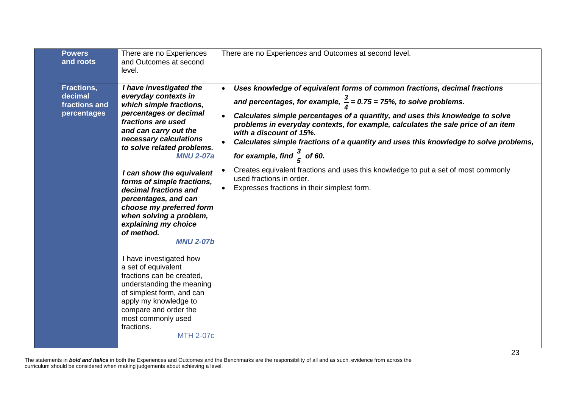| and roots<br>and Outcomes at second<br>level.                                                                                                                                                                                                                                                                                                                                                                                                                                                                                                                                                                                                                                                                                                                                                                                                                                                                                                                                                                                                                                                                                                                                                                                                                                                                                                                                                                                            |  |
|------------------------------------------------------------------------------------------------------------------------------------------------------------------------------------------------------------------------------------------------------------------------------------------------------------------------------------------------------------------------------------------------------------------------------------------------------------------------------------------------------------------------------------------------------------------------------------------------------------------------------------------------------------------------------------------------------------------------------------------------------------------------------------------------------------------------------------------------------------------------------------------------------------------------------------------------------------------------------------------------------------------------------------------------------------------------------------------------------------------------------------------------------------------------------------------------------------------------------------------------------------------------------------------------------------------------------------------------------------------------------------------------------------------------------------------|--|
| Fractions,<br>I have investigated the<br>Uses knowledge of equivalent forms of common fractions, decimal fractions<br>decimal<br>everyday contexts in<br>and percentages, for example, $\frac{3}{4}$ = 0.75 = 75%, to solve problems.<br>fractions and<br>which simple fractions,<br>percentages or decimal<br>percentages<br>Calculates simple percentages of a quantity, and uses this knowledge to solve<br>fractions are used<br>problems in everyday contexts, for example, calculates the sale price of an item<br>and can carry out the<br>with a discount of 15%.<br>necessary calculations<br>Calculates simple fractions of a quantity and uses this knowledge to solve problems,<br>to solve related problems.<br>for example, find $\frac{3}{5}$ of 60.<br><b>MNU 2-07a</b><br>Creates equivalent fractions and uses this knowledge to put a set of most commonly<br>I can show the equivalent<br>used fractions in order.<br>forms of simple fractions,<br>Expresses fractions in their simplest form.<br>decimal fractions and<br>percentages, and can<br>choose my preferred form<br>when solving a problem,<br>explaining my choice<br>of method.<br><b>MNU 2-07b</b><br>I have investigated how<br>a set of equivalent<br>fractions can be created,<br>understanding the meaning<br>of simplest form, and can<br>apply my knowledge to<br>compare and order the<br>most commonly used<br>fractions.<br><b>MTH 2-07c</b> |  |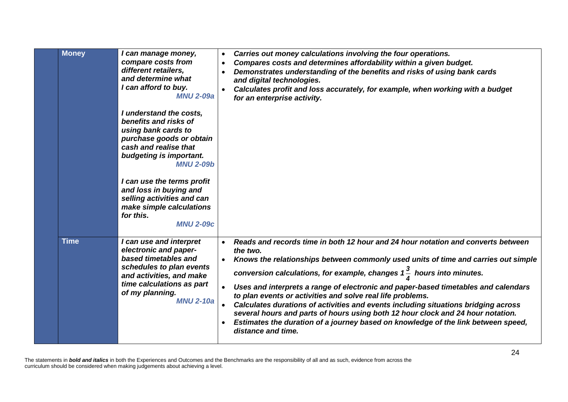| <b>Money</b> | I can manage money,<br>compare costs from<br>different retailers,<br>and determine what<br>I can afford to buy.<br><b>MNU 2-09a</b><br>I understand the costs,<br>benefits and risks of<br>using bank cards to<br>purchase goods or obtain<br>cash and realise that<br>budgeting is important.<br><b>MNU 2-09b</b><br>I can use the terms profit<br>and loss in buying and<br>selling activities and can<br>make simple calculations<br>for this.<br><b>MNU 2-09c</b> | Carries out money calculations involving the four operations.<br>$\bullet$<br>Compares costs and determines affordability within a given budget.<br>Demonstrates understanding of the benefits and risks of using bank cards<br>and digital technologies.<br>Calculates profit and loss accurately, for example, when working with a budget<br>for an enterprise activity.                                                                                                                                                                                                                                                                                                                                     |
|--------------|-----------------------------------------------------------------------------------------------------------------------------------------------------------------------------------------------------------------------------------------------------------------------------------------------------------------------------------------------------------------------------------------------------------------------------------------------------------------------|----------------------------------------------------------------------------------------------------------------------------------------------------------------------------------------------------------------------------------------------------------------------------------------------------------------------------------------------------------------------------------------------------------------------------------------------------------------------------------------------------------------------------------------------------------------------------------------------------------------------------------------------------------------------------------------------------------------|
| <b>Time</b>  | I can use and interpret<br>electronic and paper-<br>based timetables and<br>schedules to plan events<br>and activities, and make<br>time calculations as part<br>of my planning.<br><b>MNU 2-10a</b>                                                                                                                                                                                                                                                                  | Reads and records time in both 12 hour and 24 hour notation and converts between<br>the two.<br>Knows the relationships between commonly used units of time and carries out simple<br>conversion calculations, for example, changes $1\frac{3}{4}$ hours into minutes.<br>Uses and interprets a range of electronic and paper-based timetables and calendars<br>to plan events or activities and solve real life problems.<br>Calculates durations of activities and events including situations bridging across<br>several hours and parts of hours using both 12 hour clock and 24 hour notation.<br>Estimates the duration of a journey based on knowledge of the link between speed,<br>distance and time. |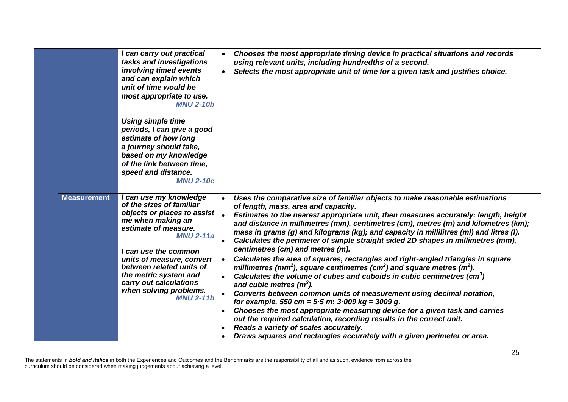|                    | I can carry out practical<br>tasks and investigations<br>involving timed events<br>and can explain which<br>unit of time would be<br>most appropriate to use.<br><b>MNU 2-10b</b>                                                                                                                                                    | Chooses the most appropriate timing device in practical situations and records<br>using relevant units, including hundredths of a second.<br>Selects the most appropriate unit of time for a given task and justifies choice.                                                                                                                                                                                                                                                                                                                                                                                                                                                                                                                                                                                                                                                                                                                                                                                                                                                                                                                                                                                                                                   |
|--------------------|--------------------------------------------------------------------------------------------------------------------------------------------------------------------------------------------------------------------------------------------------------------------------------------------------------------------------------------|-----------------------------------------------------------------------------------------------------------------------------------------------------------------------------------------------------------------------------------------------------------------------------------------------------------------------------------------------------------------------------------------------------------------------------------------------------------------------------------------------------------------------------------------------------------------------------------------------------------------------------------------------------------------------------------------------------------------------------------------------------------------------------------------------------------------------------------------------------------------------------------------------------------------------------------------------------------------------------------------------------------------------------------------------------------------------------------------------------------------------------------------------------------------------------------------------------------------------------------------------------------------|
|                    | <b>Using simple time</b><br>periods, I can give a good<br>estimate of how long<br>a journey should take,<br>based on my knowledge<br>of the link between time,<br>speed and distance.<br><b>MNU 2-10c</b>                                                                                                                            |                                                                                                                                                                                                                                                                                                                                                                                                                                                                                                                                                                                                                                                                                                                                                                                                                                                                                                                                                                                                                                                                                                                                                                                                                                                                 |
| <b>Measurement</b> | I can use my knowledge<br>of the sizes of familiar<br>objects or places to assist<br>me when making an<br>estimate of measure.<br><b>MNU 2-11a</b><br>I can use the common<br>units of measure, convert<br>between related units of<br>the metric system and<br>carry out calculations<br>when solving problems.<br><b>MNU 2-11b</b> | Uses the comparative size of familiar objects to make reasonable estimations<br>of length, mass, area and capacity.<br>Estimates to the nearest appropriate unit, then measures accurately: length, height<br>and distance in millimetres (mm), centimetres (cm), metres (m) and kilometres (km);<br>mass in grams (g) and kilograms (kg); and capacity in millilitres (ml) and litres (l).<br>Calculates the perimeter of simple straight sided 2D shapes in millimetres (mm),<br>centimetres (cm) and metres (m).<br>Calculates the area of squares, rectangles and right-angled triangles in square<br>millimetres (mm <sup>2</sup> ), square centimetres (cm <sup>2</sup> ) and square metres (m <sup>2</sup> ).<br>Calculates the volume of cubes and cuboids in cubic centimetres $(cm3)$<br>and cubic metres $(m3)$ .<br>Converts between common units of measurement using decimal notation,<br>$\bullet$<br>for example, 550 cm = $5.5$ m; $3.009$ kg = 3009 g.<br>Chooses the most appropriate measuring device for a given task and carries<br>out the required calculation, recording results in the correct unit.<br>Reads a variety of scales accurately.<br>$\bullet$<br>Draws squares and rectangles accurately with a given perimeter or area. |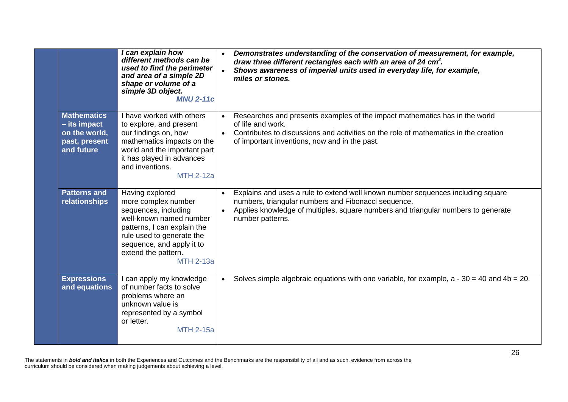|                                                                                      |               | can explain how<br>different methods can be<br>used to find the perimeter<br>and area of a simple 2D<br>shape or volume of a<br>simple 3D object.<br><b>MNU 2-11c</b>                                                         |           | Demonstrates understanding of the conservation of measurement, for example,<br>draw three different rectangles each with an area of 24 cm <sup>2</sup> .<br>Shows awareness of imperial units used in everyday life, for example,<br>miles or stones. |
|--------------------------------------------------------------------------------------|---------------|-------------------------------------------------------------------------------------------------------------------------------------------------------------------------------------------------------------------------------|-----------|-------------------------------------------------------------------------------------------------------------------------------------------------------------------------------------------------------------------------------------------------------|
| <b>Mathematics</b><br>$-$ its impact<br>on the world,<br>past, present<br>and future |               | I have worked with others<br>to explore, and present<br>our findings on, how<br>mathematics impacts on the<br>world and the important part<br>it has played in advances<br>and inventions.<br><b>MTH 2-12a</b>                |           | Researches and presents examples of the impact mathematics has in the world<br>of life and work.<br>Contributes to discussions and activities on the role of mathematics in the creation<br>of important inventions, now and in the past.             |
| <b>Patterns and</b><br>relationships                                                 |               | Having explored<br>more complex number<br>sequences, including<br>well-known named number<br>patterns, I can explain the<br>rule used to generate the<br>sequence, and apply it to<br>extend the pattern.<br><b>MTH 2-13a</b> |           | Explains and uses a rule to extend well known number sequences including square<br>numbers, triangular numbers and Fibonacci sequence.<br>Applies knowledge of multiples, square numbers and triangular numbers to generate<br>number patterns.       |
| <b>Expressions</b>                                                                   | and equations | I can apply my knowledge<br>of number facts to solve<br>problems where an<br>unknown value is<br>represented by a symbol<br>or letter.<br><b>MTH 2-15a</b>                                                                    | $\bullet$ | Solves simple algebraic equations with one variable, for example, $a - 30 = 40$ and $4b = 20$ .                                                                                                                                                       |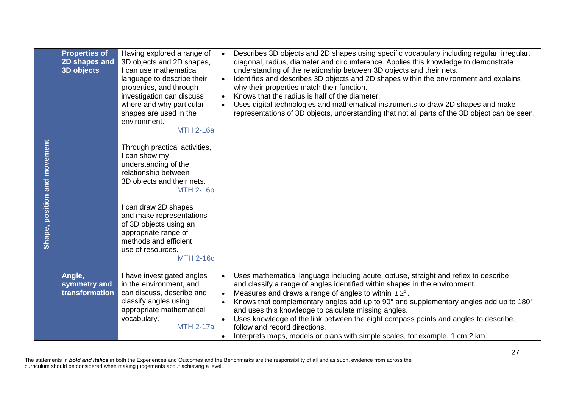| Shape, position and movement | <b>Properties of</b><br>2D shapes and<br><b>3D objects</b> | Having explored a range of<br>3D objects and 2D shapes,<br>I can use mathematical<br>language to describe their<br>properties, and through<br>investigation can discuss<br>where and why particular<br>shapes are used in the<br>environment.<br><b>MTH 2-16a</b><br>Through practical activities,<br>I can show my<br>understanding of the<br>relationship between<br>3D objects and their nets.<br><b>MTH 2-16b</b><br>I can draw 2D shapes<br>and make representations<br>of 3D objects using an<br>appropriate range of<br>methods and efficient<br>use of resources.<br><b>MTH 2-16c</b> | Describes 3D objects and 2D shapes using specific vocabulary including regular, irregular,<br>$\bullet$<br>diagonal, radius, diameter and circumference. Applies this knowledge to demonstrate<br>understanding of the relationship between 3D objects and their nets.<br>Identifies and describes 3D objects and 2D shapes within the environment and explains<br>$\bullet$<br>why their properties match their function.<br>Knows that the radius is half of the diameter.<br>$\bullet$<br>Uses digital technologies and mathematical instruments to draw 2D shapes and make<br>$\bullet$<br>representations of 3D objects, understanding that not all parts of the 3D object can be seen. |
|------------------------------|------------------------------------------------------------|-----------------------------------------------------------------------------------------------------------------------------------------------------------------------------------------------------------------------------------------------------------------------------------------------------------------------------------------------------------------------------------------------------------------------------------------------------------------------------------------------------------------------------------------------------------------------------------------------|----------------------------------------------------------------------------------------------------------------------------------------------------------------------------------------------------------------------------------------------------------------------------------------------------------------------------------------------------------------------------------------------------------------------------------------------------------------------------------------------------------------------------------------------------------------------------------------------------------------------------------------------------------------------------------------------|
|                              | Angle,<br>symmetry and<br>transformation                   | I have investigated angles<br>in the environment, and<br>can discuss, describe and<br>classify angles using<br>appropriate mathematical<br>vocabulary.<br><b>MTH 2-17a</b>                                                                                                                                                                                                                                                                                                                                                                                                                    | Uses mathematical language including acute, obtuse, straight and reflex to describe<br>$\bullet$<br>and classify a range of angles identified within shapes in the environment.<br>Measures and draws a range of angles to within $\pm 2^{\circ}$ .<br>$\bullet$<br>Knows that complementary angles add up to 90° and supplementary angles add up to 180°<br>$\bullet$<br>and uses this knowledge to calculate missing angles.<br>Uses knowledge of the link between the eight compass points and angles to describe,<br>follow and record directions.<br>Interprets maps, models or plans with simple scales, for example, 1 cm:2 km.<br>$\bullet$                                          |
|                              |                                                            | curriculum should be considered when making judgements about achieving a level.                                                                                                                                                                                                                                                                                                                                                                                                                                                                                                               | 27<br>The statements in bold and italics in both the Experiences and Outcomes and the Benchmarks are the responsibility of all and as such, evidence from across the                                                                                                                                                                                                                                                                                                                                                                                                                                                                                                                         |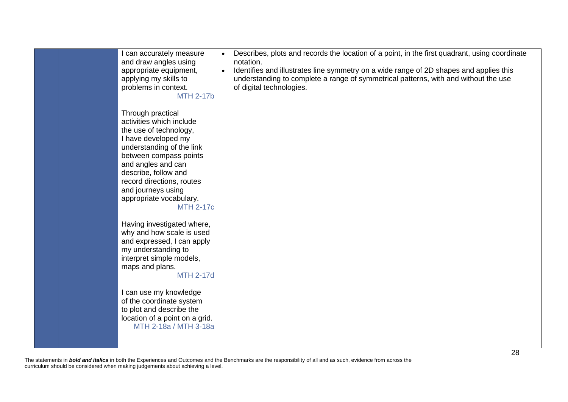|  | can accurately measure<br>and draw angles using<br>appropriate equipment,<br>applying my skills to<br>problems in context.<br><b>MTH 2-17b</b>                                                                                                                                                        | Describes, plots and records the location of a point, in the first quadrant, using coordinate<br>notation.<br>Identifies and illustrates line symmetry on a wide range of 2D shapes and applies this<br>$\bullet$<br>understanding to complete a range of symmetrical patterns, with and without the use<br>of digital technologies. |
|--|-------------------------------------------------------------------------------------------------------------------------------------------------------------------------------------------------------------------------------------------------------------------------------------------------------|--------------------------------------------------------------------------------------------------------------------------------------------------------------------------------------------------------------------------------------------------------------------------------------------------------------------------------------|
|  | Through practical<br>activities which include<br>the use of technology,<br>I have developed my<br>understanding of the link<br>between compass points<br>and angles and can<br>describe, follow and<br>record directions, routes<br>and journeys using<br>appropriate vocabulary.<br><b>MTH 2-17c</b> |                                                                                                                                                                                                                                                                                                                                      |
|  | Having investigated where,<br>why and how scale is used<br>and expressed, I can apply<br>my understanding to<br>interpret simple models,<br>maps and plans.<br><b>MTH 2-17d</b>                                                                                                                       |                                                                                                                                                                                                                                                                                                                                      |
|  | I can use my knowledge<br>of the coordinate system<br>to plot and describe the<br>location of a point on a grid.<br>MTH 2-18a / MTH 3-18a                                                                                                                                                             |                                                                                                                                                                                                                                                                                                                                      |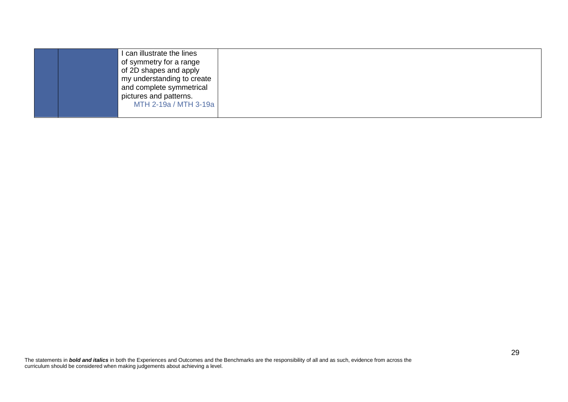| can illustrate the lines<br>of symmetry for a range<br>of 2D shapes and apply<br>my understanding to create<br>and complete symmetrical<br>pictures and patterns. |  |
|-------------------------------------------------------------------------------------------------------------------------------------------------------------------|--|
| MTH 2-19a / MTH 3-19a                                                                                                                                             |  |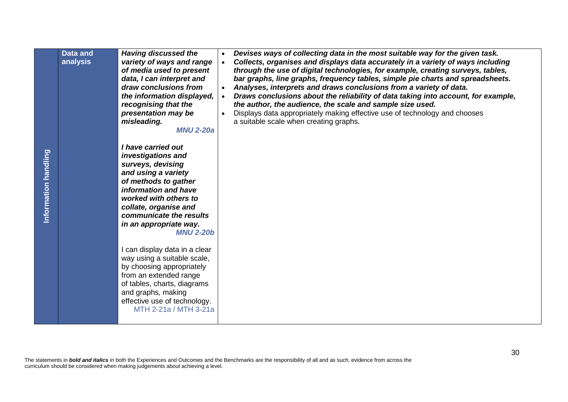|                      | <b>Data and</b><br>analysis | <b>Having discussed the</b><br>variety of ways and range<br>of media used to present<br>data, I can interpret and<br>draw conclusions from<br>the information displayed,<br>recognising that the<br>presentation may be<br>misleading.<br><b>MNU 2-20a</b>                                       | Devises ways of collecting data in the most suitable way for the given task.<br>$\bullet$<br>Collects, organises and displays data accurately in a variety of ways including<br>$\bullet$<br>through the use of digital technologies, for example, creating surveys, tables,<br>bar graphs, line graphs, frequency tables, simple pie charts and spreadsheets.<br>Analyses, interprets and draws conclusions from a variety of data.<br>Draws conclusions about the reliability of data taking into account, for example,<br>the author, the audience, the scale and sample size used.<br>Displays data appropriately making effective use of technology and chooses<br>$\bullet$<br>a suitable scale when creating graphs. |    |
|----------------------|-----------------------------|--------------------------------------------------------------------------------------------------------------------------------------------------------------------------------------------------------------------------------------------------------------------------------------------------|-----------------------------------------------------------------------------------------------------------------------------------------------------------------------------------------------------------------------------------------------------------------------------------------------------------------------------------------------------------------------------------------------------------------------------------------------------------------------------------------------------------------------------------------------------------------------------------------------------------------------------------------------------------------------------------------------------------------------------|----|
| Information handling |                             | I have carried out<br>investigations and<br>surveys, devising<br>and using a variety<br>of methods to gather<br>information and have<br>worked with others to<br>collate, organise and<br>communicate the results<br>in an appropriate way.<br><b>MNU 2-20b</b><br>I can display data in a clear |                                                                                                                                                                                                                                                                                                                                                                                                                                                                                                                                                                                                                                                                                                                             |    |
|                      |                             | way using a suitable scale,<br>by choosing appropriately<br>from an extended range<br>of tables, charts, diagrams<br>and graphs, making<br>effective use of technology.<br>MTH 2-21a / MTH 3-21a                                                                                                 |                                                                                                                                                                                                                                                                                                                                                                                                                                                                                                                                                                                                                                                                                                                             |    |
|                      |                             | curriculum should be considered when making judgements about achieving a level.                                                                                                                                                                                                                  | The statements in bold and italics in both the Experiences and Outcomes and the Benchmarks are the responsibility of all and as such, evidence from across the                                                                                                                                                                                                                                                                                                                                                                                                                                                                                                                                                              | 30 |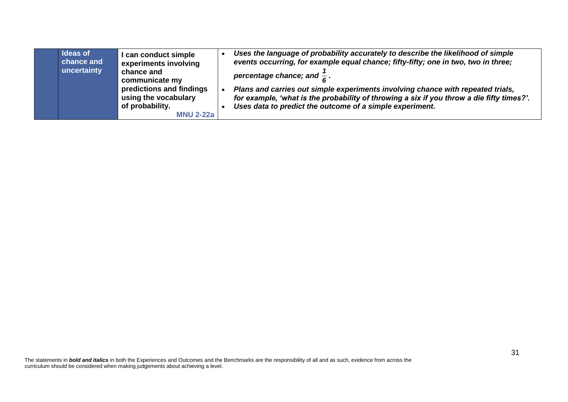|  | <b>Ideas of</b><br>chance and<br>uncertainty | I can conduct simple<br>experiments involving<br>chance and<br>communicate my<br>predictions and findings<br>using the vocabulary<br>of probability.<br><b>MNU 2-22a</b> |  | Uses the language of probability accurately to describe the likelihood of simple<br>events occurring, for example equal chance; fifty-fifty; one in two, two in three;<br>percentage chance; and $\frac{1}{6}$ .<br>Plans and carries out simple experiments involving chance with repeated trials,<br>for example, 'what is the probability of throwing a six if you throw a die fifty times?'.<br>Uses data to predict the outcome of a simple experiment. |
|--|----------------------------------------------|--------------------------------------------------------------------------------------------------------------------------------------------------------------------------|--|--------------------------------------------------------------------------------------------------------------------------------------------------------------------------------------------------------------------------------------------------------------------------------------------------------------------------------------------------------------------------------------------------------------------------------------------------------------|
|--|----------------------------------------------|--------------------------------------------------------------------------------------------------------------------------------------------------------------------------|--|--------------------------------------------------------------------------------------------------------------------------------------------------------------------------------------------------------------------------------------------------------------------------------------------------------------------------------------------------------------------------------------------------------------------------------------------------------------|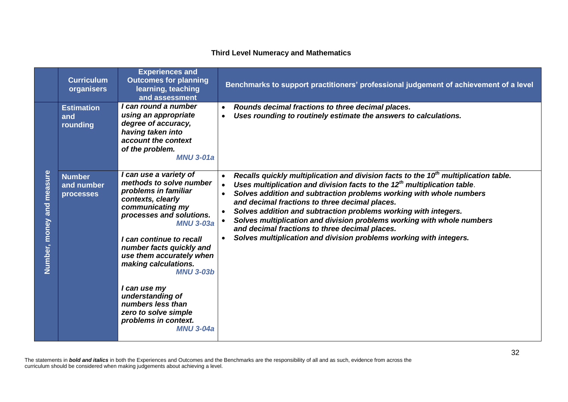## **Third Level Numeracy and Mathematics**

|                                 | <b>Curriculum</b><br>organisers      | <b>Experiences and</b><br><b>Outcomes for planning</b><br>learning, teaching<br>and assessment                                                                                                                                                                                                                                                                                                                                  | Benchmarks to support practitioners' professional judgement of achievement of a level                                                                                                                                                                                                                                                                                                                                                                                                                                                                                                              |
|---------------------------------|--------------------------------------|---------------------------------------------------------------------------------------------------------------------------------------------------------------------------------------------------------------------------------------------------------------------------------------------------------------------------------------------------------------------------------------------------------------------------------|----------------------------------------------------------------------------------------------------------------------------------------------------------------------------------------------------------------------------------------------------------------------------------------------------------------------------------------------------------------------------------------------------------------------------------------------------------------------------------------------------------------------------------------------------------------------------------------------------|
|                                 | <b>Estimation</b><br>and<br>rounding | I can round a number<br>using an appropriate<br>degree of accuracy,<br>having taken into<br>account the context<br>of the problem.<br><b>MNU 3-01a</b>                                                                                                                                                                                                                                                                          | Rounds decimal fractions to three decimal places.<br>$\bullet$<br>Uses rounding to routinely estimate the answers to calculations.<br>$\bullet$                                                                                                                                                                                                                                                                                                                                                                                                                                                    |
| measure<br>and<br>Number, money | Number<br>and number<br>processes    | I can use a variety of<br>methods to solve number<br>problems in familiar<br>contexts, clearly<br>communicating my<br>processes and solutions.<br><b>MNU 3-03a</b><br>I can continue to recall<br>number facts quickly and<br>use them accurately when<br>making calculations.<br><b>MNU 3-03b</b><br>I can use my<br>understanding of<br>numbers less than<br>zero to solve simple<br>problems in context.<br><b>MNU 3-04a</b> | Recalls quickly multiplication and division facts to the 10 <sup>th</sup> multiplication table.<br>Uses multiplication and division facts to the 12 <sup>th</sup> multiplication table.<br>Solves addition and subtraction problems working with whole numbers<br>$\bullet$<br>and decimal fractions to three decimal places.<br>Solves addition and subtraction problems working with integers.<br>Solves multiplication and division problems working with whole numbers<br>and decimal fractions to three decimal places.<br>Solves multiplication and division problems working with integers. |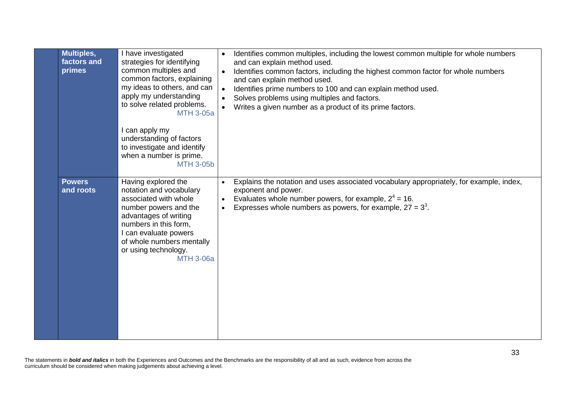| Multiples,<br>factors and<br>primes | I have investigated<br>strategies for identifying<br>common multiples and<br>common factors, explaining<br>my ideas to others, and can<br>apply my understanding<br>to solve related problems.<br><b>MTH 3-05a</b><br>I can apply my<br>understanding of factors<br>to investigate and identify<br>when a number is prime.<br><b>MTH 3-05b</b> | $\bullet$ | Identifies common multiples, including the lowest common multiple for whole numbers<br>and can explain method used.<br>Identifies common factors, including the highest common factor for whole numbers<br>and can explain method used.<br>Identifies prime numbers to 100 and can explain method used.<br>Solves problems using multiples and factors.<br>Writes a given number as a product of its prime factors. |
|-------------------------------------|------------------------------------------------------------------------------------------------------------------------------------------------------------------------------------------------------------------------------------------------------------------------------------------------------------------------------------------------|-----------|---------------------------------------------------------------------------------------------------------------------------------------------------------------------------------------------------------------------------------------------------------------------------------------------------------------------------------------------------------------------------------------------------------------------|
| <b>Powers</b><br>and roots          | Having explored the<br>notation and vocabulary<br>associated with whole<br>number powers and the<br>advantages of writing<br>numbers in this form,<br>I can evaluate powers<br>of whole numbers mentally<br>or using technology.<br><b>MTH 3-06a</b>                                                                                           | $\bullet$ | Explains the notation and uses associated vocabulary appropriately, for example, index,<br>exponent and power.<br>Evaluates whole number powers, for example, $2^4$ = 16.<br>Expresses whole numbers as powers, for example, $27 = 3^3$ .                                                                                                                                                                           |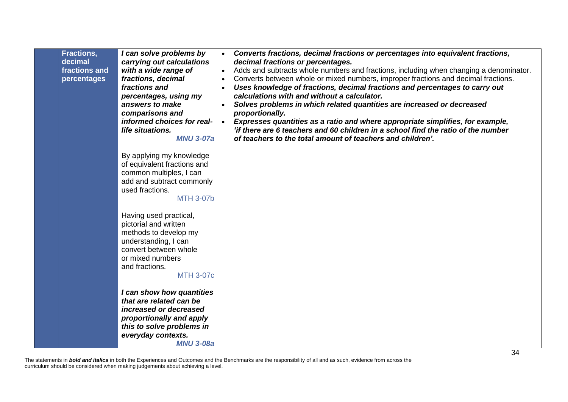| <b>Fractions,</b><br>decimal<br>fractions and<br>percentages | I can solve problems by<br>carrying out calculations<br>with a wide range of<br>fractions, decimal<br>fractions and<br>percentages, using my<br>answers to make<br>comparisons and<br>informed choices for real-<br>life situations.<br><b>MNU 3-07a</b><br>By applying my knowledge<br>of equivalent fractions and<br>common multiples, I can<br>add and subtract commonly<br>used fractions.<br><b>MTH 3-07b</b> | Converts fractions, decimal fractions or percentages into equivalent fractions,<br>decimal fractions or percentages.<br>Adds and subtracts whole numbers and fractions, including when changing a denominator.<br>$\bullet$<br>Converts between whole or mixed numbers, improper fractions and decimal fractions.<br>$\bullet$<br>Uses knowledge of fractions, decimal fractions and percentages to carry out<br>calculations with and without a calculator.<br>Solves problems in which related quantities are increased or decreased<br>proportionally.<br>Expresses quantities as a ratio and where appropriate simplifies, for example,<br>$\bullet$<br>'if there are 6 teachers and 60 children in a school find the ratio of the number<br>of teachers to the total amount of teachers and children'. |
|--------------------------------------------------------------|--------------------------------------------------------------------------------------------------------------------------------------------------------------------------------------------------------------------------------------------------------------------------------------------------------------------------------------------------------------------------------------------------------------------|-------------------------------------------------------------------------------------------------------------------------------------------------------------------------------------------------------------------------------------------------------------------------------------------------------------------------------------------------------------------------------------------------------------------------------------------------------------------------------------------------------------------------------------------------------------------------------------------------------------------------------------------------------------------------------------------------------------------------------------------------------------------------------------------------------------|
|                                                              | Having used practical,<br>pictorial and written<br>methods to develop my<br>understanding, I can<br>convert between whole<br>or mixed numbers<br>and fractions.<br><b>MTH 3-07c</b><br>I can show how quantities<br>that are related can be<br>increased or decreased<br>proportionally and apply<br>this to solve problems in<br>everyday contexts.<br><b>MNU 3-08a</b>                                           |                                                                                                                                                                                                                                                                                                                                                                                                                                                                                                                                                                                                                                                                                                                                                                                                             |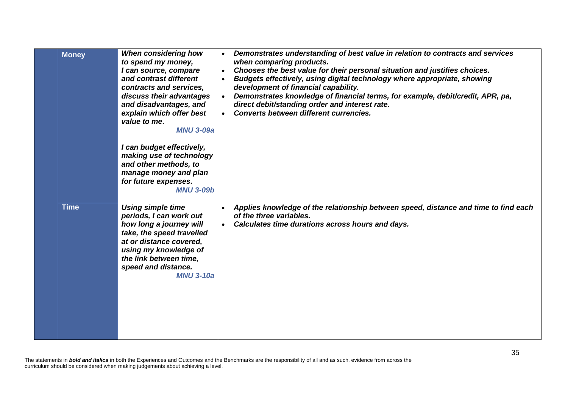| <b>Money</b> | When considering how<br>to spend my money,<br>I can source, compare<br>and contrast different<br>contracts and services,<br>discuss their advantages<br>and disadvantages, and<br>explain which offer best<br>value to me.<br><b>MNU 3-09a</b><br>I can budget effectively, | $\bullet$ | Demonstrates understanding of best value in relation to contracts and services<br>when comparing products.<br>Chooses the best value for their personal situation and justifies choices.<br>Budgets effectively, using digital technology where appropriate, showing<br>development of financial capability.<br>Demonstrates knowledge of financial terms, for example, debit/credit, APR, pa,<br>direct debit/standing order and interest rate.<br><b>Converts between different currencies.</b> |
|--------------|-----------------------------------------------------------------------------------------------------------------------------------------------------------------------------------------------------------------------------------------------------------------------------|-----------|---------------------------------------------------------------------------------------------------------------------------------------------------------------------------------------------------------------------------------------------------------------------------------------------------------------------------------------------------------------------------------------------------------------------------------------------------------------------------------------------------|
|              | making use of technology<br>and other methods, to<br>manage money and plan<br>for future expenses.<br><b>MNU 3-09b</b>                                                                                                                                                      |           |                                                                                                                                                                                                                                                                                                                                                                                                                                                                                                   |
| <b>Time</b>  | <b>Using simple time</b><br>periods, I can work out<br>how long a journey will<br>take, the speed travelled<br>at or distance covered,<br>using my knowledge of<br>the link between time,<br>speed and distance.<br><b>MNU 3-10a</b>                                        | $\bullet$ | Applies knowledge of the relationship between speed, distance and time to find each<br>of the three variables.<br>Calculates time durations across hours and days.                                                                                                                                                                                                                                                                                                                                |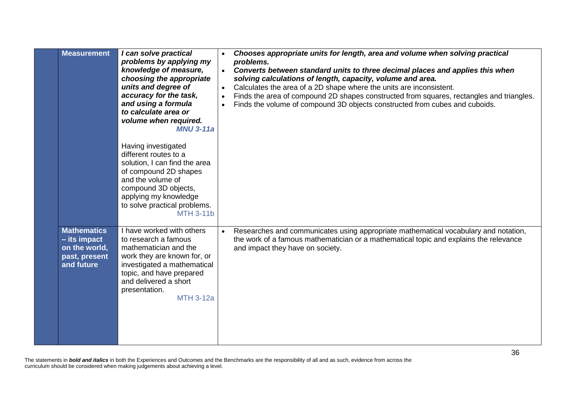| <b>Measurement</b>                                                                   | I can solve practical<br>problems by applying my<br>knowledge of measure,<br>choosing the appropriate<br>units and degree of<br>accuracy for the task,<br>and using a formula<br>to calculate area or<br>volume when required.<br><b>MNU 3-11a</b> | $\bullet$<br>$\bullet$ | Chooses appropriate units for length, area and volume when solving practical<br>problems.<br>Converts between standard units to three decimal places and applies this when<br>solving calculations of length, capacity, volume and area.<br>Calculates the area of a 2D shape where the units are inconsistent.<br>Finds the area of compound 2D shapes constructed from squares, rectangles and triangles.<br>Finds the volume of compound 3D objects constructed from cubes and cuboids. |
|--------------------------------------------------------------------------------------|----------------------------------------------------------------------------------------------------------------------------------------------------------------------------------------------------------------------------------------------------|------------------------|--------------------------------------------------------------------------------------------------------------------------------------------------------------------------------------------------------------------------------------------------------------------------------------------------------------------------------------------------------------------------------------------------------------------------------------------------------------------------------------------|
|                                                                                      | Having investigated<br>different routes to a<br>solution, I can find the area<br>of compound 2D shapes<br>and the volume of<br>compound 3D objects,<br>applying my knowledge<br>to solve practical problems.<br><b>MTH 3-11b</b>                   |                        |                                                                                                                                                                                                                                                                                                                                                                                                                                                                                            |
| <b>Mathematics</b><br>$-$ its impact<br>on the world,<br>past, present<br>and future | I have worked with others<br>to research a famous<br>mathematician and the<br>work they are known for, or<br>investigated a mathematical<br>topic, and have prepared<br>and delivered a short<br>presentation.<br><b>MTH 3-12a</b>                 | $\bullet$              | Researches and communicates using appropriate mathematical vocabulary and notation,<br>the work of a famous mathematician or a mathematical topic and explains the relevance<br>and impact they have on society.                                                                                                                                                                                                                                                                           |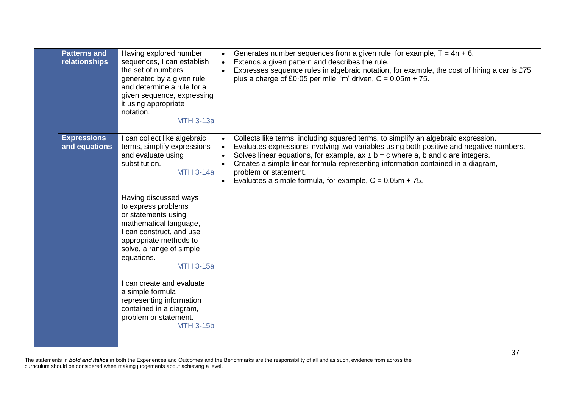| <b>Patterns and</b><br>relationships | Having explored number<br>sequences, I can establish<br>the set of numbers<br>generated by a given rule<br>and determine a rule for a<br>given sequence, expressing<br>it using appropriate<br>notation.<br><b>MTH 3-13a</b>                                                                                                                                                                                                                                                                     | Generates number sequences from a given rule, for example, $T = 4n + 6$ .<br>Extends a given pattern and describes the rule.<br>Expresses sequence rules in algebraic notation, for example, the cost of hiring a car is £75<br>plus a charge of £0.05 per mile, 'm' driven, $C = 0.05m + 75$ .                                                                                                                                                  |
|--------------------------------------|--------------------------------------------------------------------------------------------------------------------------------------------------------------------------------------------------------------------------------------------------------------------------------------------------------------------------------------------------------------------------------------------------------------------------------------------------------------------------------------------------|--------------------------------------------------------------------------------------------------------------------------------------------------------------------------------------------------------------------------------------------------------------------------------------------------------------------------------------------------------------------------------------------------------------------------------------------------|
| <b>Expressions</b><br>and equations  | I can collect like algebraic<br>terms, simplify expressions<br>and evaluate using<br>substitution.<br><b>MTH 3-14a</b><br>Having discussed ways<br>to express problems<br>or statements using<br>mathematical language,<br>I can construct, and use<br>appropriate methods to<br>solve, a range of simple<br>equations.<br><b>MTH 3-15a</b><br>I can create and evaluate<br>a simple formula<br>representing information<br>contained in a diagram,<br>problem or statement.<br><b>MTH 3-15b</b> | Collects like terms, including squared terms, to simplify an algebraic expression.<br>Evaluates expressions involving two variables using both positive and negative numbers.<br>Solves linear equations, for example, $ax \pm b = c$ where a, b and c are integers.<br>Creates a simple linear formula representing information contained in a diagram,<br>problem or statement.<br>Evaluates a simple formula, for example, $C = 0.05m + 75$ . |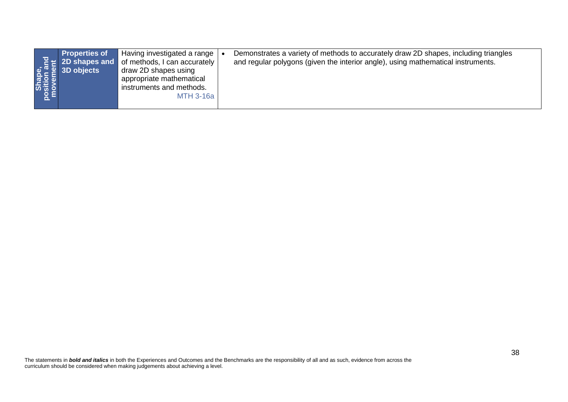| <b>Properties of</b><br>Shape,<br>position and<br>movement<br>2D shapes and<br>3D objects | Having investigated a range<br>$\overline{\phantom{a}}$<br>of methods, I can accurately<br>draw 2D shapes using<br>appropriate mathematical<br>instruments and methods.<br><b>MTH 3-16a</b> | Demonstrates a variety of methods to accurately draw 2D shapes, including triangles<br>and regular polygons (given the interior angle), using mathematical instruments. |    |
|-------------------------------------------------------------------------------------------|---------------------------------------------------------------------------------------------------------------------------------------------------------------------------------------------|-------------------------------------------------------------------------------------------------------------------------------------------------------------------------|----|
|                                                                                           |                                                                                                                                                                                             |                                                                                                                                                                         |    |
|                                                                                           |                                                                                                                                                                                             |                                                                                                                                                                         |    |
|                                                                                           |                                                                                                                                                                                             |                                                                                                                                                                         |    |
|                                                                                           |                                                                                                                                                                                             |                                                                                                                                                                         |    |
| curriculum should be considered when making judgements about achieving a level.           |                                                                                                                                                                                             | The statements in bold and italics in both the Experiences and Outcomes and the Benchmarks are the responsibility of all and as such, evidence from across the          | 38 |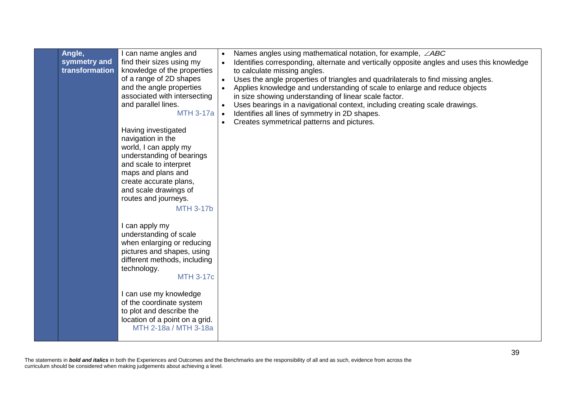| Angle,<br>symmetry and<br>transformation | I can name angles and<br>find their sizes using my<br>knowledge of the properties<br>of a range of 2D shapes<br>and the angle properties<br>associated with intersecting<br>and parallel lines.<br>$MTH$ 3-17a $\bullet$<br>Having investigated<br>navigation in the<br>world, I can apply my<br>understanding of bearings<br>and scale to interpret<br>maps and plans and<br>create accurate plans,<br>and scale drawings of<br>routes and journeys.<br><b>MTH 3-17b</b> | Names angles using mathematical notation, for example, $\angle ABC$<br>$\bullet$<br>Identifies corresponding, alternate and vertically opposite angles and uses this knowledge<br>$\bullet$<br>to calculate missing angles.<br>Uses the angle properties of triangles and quadrilaterals to find missing angles.<br>$\bullet$<br>Applies knowledge and understanding of scale to enlarge and reduce objects<br>$\bullet$<br>in size showing understanding of linear scale factor.<br>Uses bearings in a navigational context, including creating scale drawings.<br>$\bullet$<br>Identifies all lines of symmetry in 2D shapes.<br>Creates symmetrical patterns and pictures.<br>$\bullet$ |
|------------------------------------------|---------------------------------------------------------------------------------------------------------------------------------------------------------------------------------------------------------------------------------------------------------------------------------------------------------------------------------------------------------------------------------------------------------------------------------------------------------------------------|--------------------------------------------------------------------------------------------------------------------------------------------------------------------------------------------------------------------------------------------------------------------------------------------------------------------------------------------------------------------------------------------------------------------------------------------------------------------------------------------------------------------------------------------------------------------------------------------------------------------------------------------------------------------------------------------|
|                                          | I can apply my<br>understanding of scale<br>when enlarging or reducing<br>pictures and shapes, using<br>different methods, including<br>technology.<br><b>MTH 3-17c</b><br>I can use my knowledge<br>of the coordinate system<br>to plot and describe the<br>location of a point on a grid.<br>MTH 2-18a / MTH 3-18a                                                                                                                                                      |                                                                                                                                                                                                                                                                                                                                                                                                                                                                                                                                                                                                                                                                                            |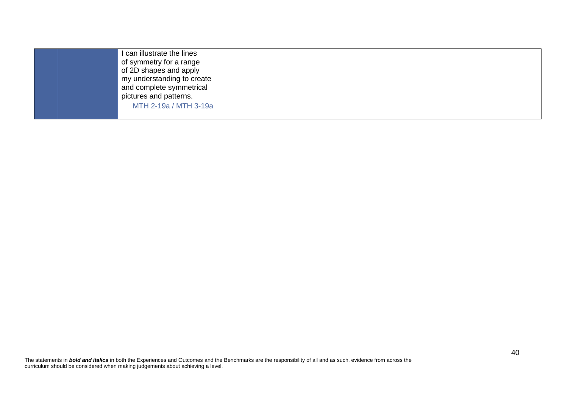| can illustrate the lines<br>of symmetry for a range<br>of 2D shapes and apply<br>my understanding to create<br>and complete symmetrical<br>pictures and patterns. |  |
|-------------------------------------------------------------------------------------------------------------------------------------------------------------------|--|
| MTH 2-19a / MTH 3-19a                                                                                                                                             |  |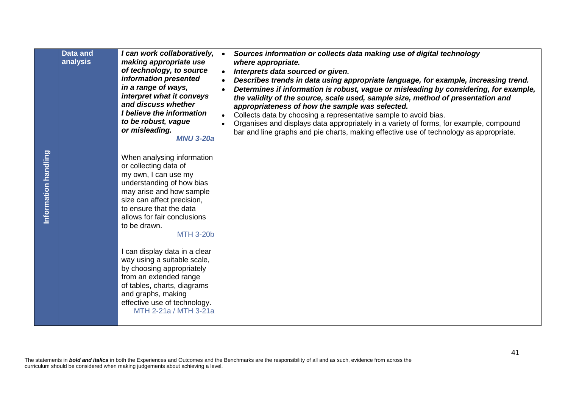|                                                                                                                                                                                                                                                         | <b>Data and</b><br>analysis | I can work collaboratively,<br>making appropriate use<br>of technology, to source<br>information presented<br>in a range of ways,<br>interpret what it conveys<br>and discuss whether<br>I believe the information<br>to be robust, vague<br>or misleading.<br><b>MNU 3-20a</b> | Sources information or collects data making use of digital technology<br>$\bullet$<br>where appropriate.<br>Interprets data sourced or given.<br>$\bullet$<br>Describes trends in data using appropriate language, for example, increasing trend.<br>$\bullet$<br>Determines if information is robust, vague or misleading by considering, for example,<br>$\bullet$<br>the validity of the source, scale used, sample size, method of presentation and<br>appropriateness of how the sample was selected.<br>Collects data by choosing a representative sample to avoid bias.<br>$\bullet$<br>Organises and displays data appropriately in a variety of forms, for example, compound<br>bar and line graphs and pie charts, making effective use of technology as appropriate. |  |
|---------------------------------------------------------------------------------------------------------------------------------------------------------------------------------------------------------------------------------------------------------|-----------------------------|---------------------------------------------------------------------------------------------------------------------------------------------------------------------------------------------------------------------------------------------------------------------------------|---------------------------------------------------------------------------------------------------------------------------------------------------------------------------------------------------------------------------------------------------------------------------------------------------------------------------------------------------------------------------------------------------------------------------------------------------------------------------------------------------------------------------------------------------------------------------------------------------------------------------------------------------------------------------------------------------------------------------------------------------------------------------------|--|
| Information handling                                                                                                                                                                                                                                    |                             | When analysing information<br>or collecting data of<br>my own, I can use my<br>understanding of how bias<br>may arise and how sample<br>size can affect precision,<br>to ensure that the data<br>allows for fair conclusions<br>to be drawn.<br><b>MTH 3-20b</b>                |                                                                                                                                                                                                                                                                                                                                                                                                                                                                                                                                                                                                                                                                                                                                                                                 |  |
|                                                                                                                                                                                                                                                         |                             | I can display data in a clear<br>way using a suitable scale,<br>by choosing appropriately<br>from an extended range<br>of tables, charts, diagrams<br>and graphs, making<br>effective use of technology.<br>MTH 2-21a / MTH 3-21a                                               |                                                                                                                                                                                                                                                                                                                                                                                                                                                                                                                                                                                                                                                                                                                                                                                 |  |
| 41<br>The statements in bold and italics in both the Experiences and Outcomes and the Benchmarks are the responsibility of all and as such, evidence from across the<br>curriculum should be considered when making judgements about achieving a level. |                             |                                                                                                                                                                                                                                                                                 |                                                                                                                                                                                                                                                                                                                                                                                                                                                                                                                                                                                                                                                                                                                                                                                 |  |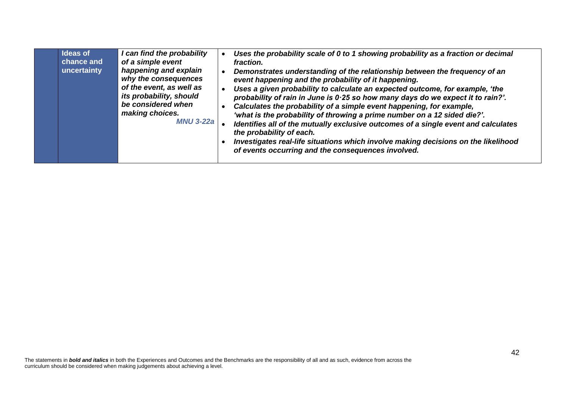| <b>Ideas of</b><br>chance and<br>uncertainty | I can find the probability<br>of a simple event<br>happening and explain<br>why the consequences<br>of the event, as well as<br>its probability, should<br>be considered when<br>making choices.<br><b>MNU 3-22a</b> | Uses the probability scale of 0 to 1 showing probability as a fraction or decimal<br>fraction.<br>Demonstrates understanding of the relationship between the frequency of an<br>event happening and the probability of it happening.<br>Uses a given probability to calculate an expected outcome, for example, 'the<br>probability of rain in June is 0.25 so how many days do we expect it to rain?'.<br>Calculates the probability of a simple event happening, for example,<br>'what is the probability of throwing a prime number on a 12 sided die?'.<br>Identifies all of the mutually exclusive outcomes of a single event and calculates<br>the probability of each.<br>Investigates real-life situations which involve making decisions on the likelihood<br>of events occurring and the consequences involved. |
|----------------------------------------------|----------------------------------------------------------------------------------------------------------------------------------------------------------------------------------------------------------------------|---------------------------------------------------------------------------------------------------------------------------------------------------------------------------------------------------------------------------------------------------------------------------------------------------------------------------------------------------------------------------------------------------------------------------------------------------------------------------------------------------------------------------------------------------------------------------------------------------------------------------------------------------------------------------------------------------------------------------------------------------------------------------------------------------------------------------|
|----------------------------------------------|----------------------------------------------------------------------------------------------------------------------------------------------------------------------------------------------------------------------|---------------------------------------------------------------------------------------------------------------------------------------------------------------------------------------------------------------------------------------------------------------------------------------------------------------------------------------------------------------------------------------------------------------------------------------------------------------------------------------------------------------------------------------------------------------------------------------------------------------------------------------------------------------------------------------------------------------------------------------------------------------------------------------------------------------------------|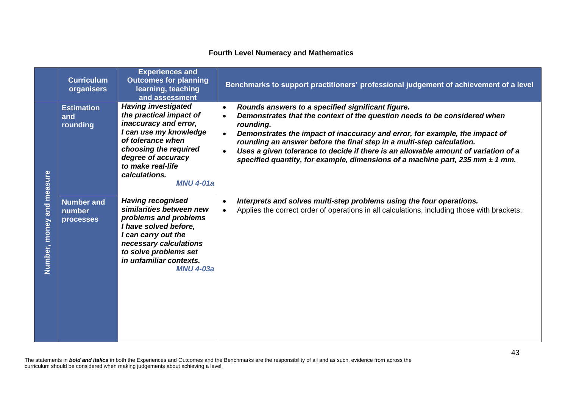## **Fourth Level Numeracy and Mathematics**

|                           | <b>Curriculum</b><br>organisers          | <b>Experiences and</b><br><b>Outcomes for planning</b><br>learning, teaching<br>and assessment                                                                                                                                         | Benchmarks to support practitioners' professional judgement of achievement of a level                                                                                                                                                                                                                                                                                                                                                                                                                    |
|---------------------------|------------------------------------------|----------------------------------------------------------------------------------------------------------------------------------------------------------------------------------------------------------------------------------------|----------------------------------------------------------------------------------------------------------------------------------------------------------------------------------------------------------------------------------------------------------------------------------------------------------------------------------------------------------------------------------------------------------------------------------------------------------------------------------------------------------|
|                           | <b>Estimation</b><br>and<br>rounding     | <b>Having investigated</b><br>the practical impact of<br>inaccuracy and error,<br>I can use my knowledge<br>of tolerance when<br>choosing the required<br>degree of accuracy<br>to make real-life<br>calculations.<br><b>MNU 4-01a</b> | Rounds answers to a specified significant figure.<br>Demonstrates that the context of the question needs to be considered when<br>$\bullet$<br>rounding.<br>Demonstrates the impact of inaccuracy and error, for example, the impact of<br>$\bullet$<br>rounding an answer before the final step in a multi-step calculation.<br>Uses a given tolerance to decide if there is an allowable amount of variation of a<br>specified quantity, for example, dimensions of a machine part, 235 mm $\pm$ 1 mm. |
| Number, money and measure | <b>Number and</b><br>number<br>processes | <b>Having recognised</b><br>similarities between new<br>problems and problems<br>I have solved before,<br>I can carry out the<br>necessary calculations<br>to solve problems set<br>in unfamiliar contexts.<br><b>MNU 4-03a</b>        | Interprets and solves multi-step problems using the four operations.<br>Applies the correct order of operations in all calculations, including those with brackets.                                                                                                                                                                                                                                                                                                                                      |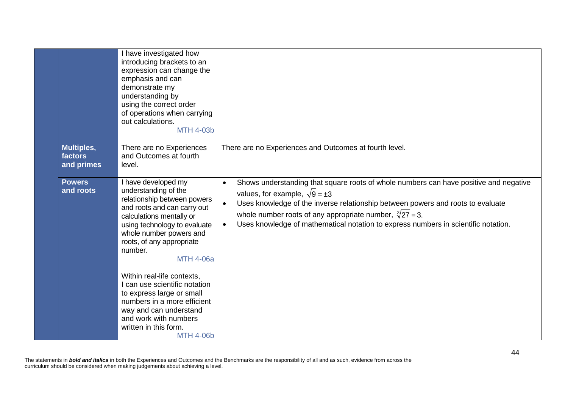|                                            | I have investigated how<br>introducing brackets to an<br>expression can change the<br>emphasis and can<br>demonstrate my<br>understanding by<br>using the correct order<br>of operations when carrying<br>out calculations.<br><b>MTH 4-03b</b>                                                                                                                                                                                                                                         |                                                                                                                                                                                                                                                                                                                                                                                                           |
|--------------------------------------------|-----------------------------------------------------------------------------------------------------------------------------------------------------------------------------------------------------------------------------------------------------------------------------------------------------------------------------------------------------------------------------------------------------------------------------------------------------------------------------------------|-----------------------------------------------------------------------------------------------------------------------------------------------------------------------------------------------------------------------------------------------------------------------------------------------------------------------------------------------------------------------------------------------------------|
| <b>Multiples,</b><br>factors<br>and primes | There are no Experiences<br>and Outcomes at fourth<br>level.                                                                                                                                                                                                                                                                                                                                                                                                                            | There are no Experiences and Outcomes at fourth level.                                                                                                                                                                                                                                                                                                                                                    |
| <b>Powers</b><br>and roots                 | I have developed my<br>understanding of the<br>relationship between powers<br>and roots and can carry out<br>calculations mentally or<br>using technology to evaluate<br>whole number powers and<br>roots, of any appropriate<br>number.<br><b>MTH 4-06a</b><br>Within real-life contexts,<br>I can use scientific notation<br>to express large or small<br>numbers in a more efficient<br>way and can understand<br>and work with numbers<br>written in this form.<br><b>MTH 4-06b</b> | Shows understanding that square roots of whole numbers can have positive and negative<br>$\bullet$<br>values, for example, $\sqrt{9} = \pm 3$<br>Uses knowledge of the inverse relationship between powers and roots to evaluate<br>$\bullet$<br>whole number roots of any appropriate number, $\sqrt[3]{27} = 3$ .<br>Uses knowledge of mathematical notation to express numbers in scientific notation. |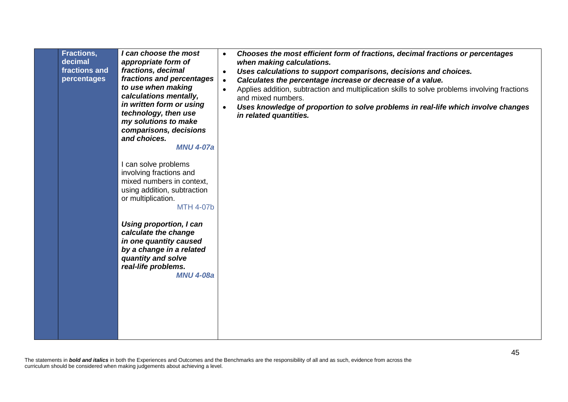|  | Fractions,<br>decimal<br>fractions and<br>percentages | I can choose the most<br>appropriate form of<br>fractions, decimal<br>fractions and percentages<br>to use when making<br>calculations mentally,<br>in written form or using<br>technology, then use<br>my solutions to make<br>comparisons, decisions<br>and choices.<br><b>MNU 4-07a</b><br>I can solve problems<br>involving fractions and<br>mixed numbers in context,<br>using addition, subtraction<br>or multiplication.<br><b>MTH 4-07b</b><br>Using proportion, I can<br>calculate the change<br>in one quantity caused<br>by a change in a related<br>quantity and solve<br>real-life problems.<br><b>MNU 4-08a</b> | Chooses the most efficient form of fractions, decimal fractions or percentages<br>$\bullet$<br>when making calculations.<br>Uses calculations to support comparisons, decisions and choices.<br>$\bullet$<br>Calculates the percentage increase or decrease of a value.<br>$\bullet$<br>Applies addition, subtraction and multiplication skills to solve problems involving fractions<br>$\bullet$<br>and mixed numbers.<br>Uses knowledge of proportion to solve problems in real-life which involve changes<br>$\bullet$<br>in related quantities. |
|--|-------------------------------------------------------|------------------------------------------------------------------------------------------------------------------------------------------------------------------------------------------------------------------------------------------------------------------------------------------------------------------------------------------------------------------------------------------------------------------------------------------------------------------------------------------------------------------------------------------------------------------------------------------------------------------------------|------------------------------------------------------------------------------------------------------------------------------------------------------------------------------------------------------------------------------------------------------------------------------------------------------------------------------------------------------------------------------------------------------------------------------------------------------------------------------------------------------------------------------------------------------|
|--|-------------------------------------------------------|------------------------------------------------------------------------------------------------------------------------------------------------------------------------------------------------------------------------------------------------------------------------------------------------------------------------------------------------------------------------------------------------------------------------------------------------------------------------------------------------------------------------------------------------------------------------------------------------------------------------------|------------------------------------------------------------------------------------------------------------------------------------------------------------------------------------------------------------------------------------------------------------------------------------------------------------------------------------------------------------------------------------------------------------------------------------------------------------------------------------------------------------------------------------------------------|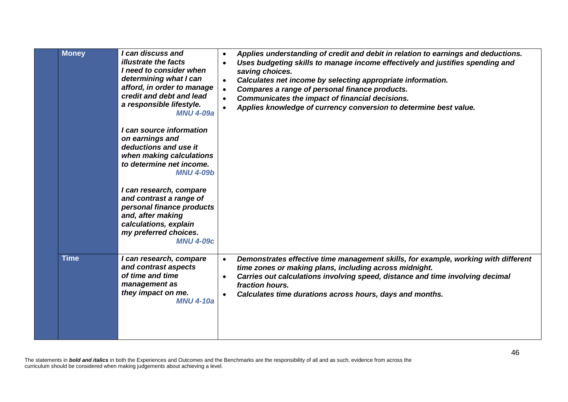| <b>Money</b> | I can discuss and<br><b>illustrate the facts</b><br>I need to consider when<br>determining what I can<br>afford, in order to manage<br>credit and debt and lead<br>a responsible lifestyle.<br><b>MNU 4-09a</b><br>I can source information<br>on earnings and<br>deductions and use it<br>when making calculations<br>to determine net income.<br><b>MNU 4-09b</b><br>I can research, compare<br>and contrast a range of<br>personal finance products<br>and, after making<br>calculations, explain<br>my preferred choices.<br><b>MNU 4-09c</b> | Applies understanding of credit and debit in relation to earnings and deductions.<br>$\bullet$<br>Uses budgeting skills to manage income effectively and justifies spending and<br>$\bullet$<br>saving choices.<br>Calculates net income by selecting appropriate information.<br>$\bullet$<br>Compares a range of personal finance products.<br>$\bullet$<br>Communicates the impact of financial decisions.<br>Applies knowledge of currency conversion to determine best value. |
|--------------|---------------------------------------------------------------------------------------------------------------------------------------------------------------------------------------------------------------------------------------------------------------------------------------------------------------------------------------------------------------------------------------------------------------------------------------------------------------------------------------------------------------------------------------------------|------------------------------------------------------------------------------------------------------------------------------------------------------------------------------------------------------------------------------------------------------------------------------------------------------------------------------------------------------------------------------------------------------------------------------------------------------------------------------------|
| <b>Time</b>  | I can research, compare<br>and contrast aspects<br>of time and time<br>management as<br>they impact on me.<br><b>MNU 4-10a</b>                                                                                                                                                                                                                                                                                                                                                                                                                    | Demonstrates effective time management skills, for example, working with different<br>$\bullet$<br>time zones or making plans, including across midnight.<br>Carries out calculations involving speed, distance and time involving decimal<br>$\bullet$<br>fraction hours.<br>Calculates time durations across hours, days and months.                                                                                                                                             |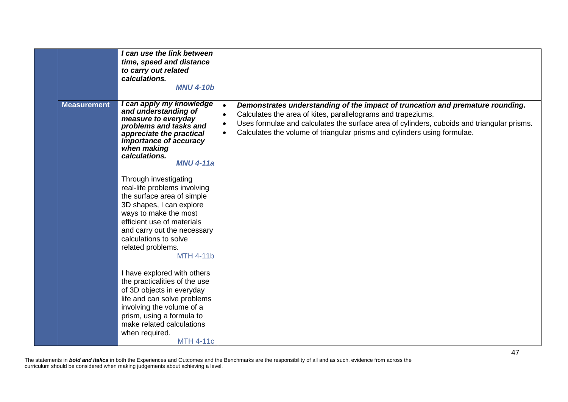|                    | I can use the link between<br>time, speed and distance<br>to carry out related<br>calculations.<br><b>MNU 4-10b</b>                                                                                                                                                     |                                                                                                                                                                                                                                                                                                                                                    |
|--------------------|-------------------------------------------------------------------------------------------------------------------------------------------------------------------------------------------------------------------------------------------------------------------------|----------------------------------------------------------------------------------------------------------------------------------------------------------------------------------------------------------------------------------------------------------------------------------------------------------------------------------------------------|
| <b>Measurement</b> | I can apply my knowledge<br>and understanding of<br>measure to everyday<br>problems and tasks and<br>appreciate the practical<br><i>importance of accuracy</i><br>when making<br>calculations.<br><b>MNU 4-11a</b>                                                      | Demonstrates understanding of the impact of truncation and premature rounding.<br>$\bullet$<br>Calculates the area of kites, parallelograms and trapeziums.<br>$\bullet$<br>Uses formulae and calculates the surface area of cylinders, cuboids and triangular prisms.<br>Calculates the volume of triangular prisms and cylinders using formulae. |
|                    | Through investigating<br>real-life problems involving<br>the surface area of simple<br>3D shapes, I can explore<br>ways to make the most<br>efficient use of materials<br>and carry out the necessary<br>calculations to solve<br>related problems.<br><b>MTH 4-11b</b> |                                                                                                                                                                                                                                                                                                                                                    |
|                    | I have explored with others<br>the practicalities of the use<br>of 3D objects in everyday<br>life and can solve problems<br>involving the volume of a<br>prism, using a formula to<br>make related calculations<br>when required.<br><b>MTH 4-11c</b>                   |                                                                                                                                                                                                                                                                                                                                                    |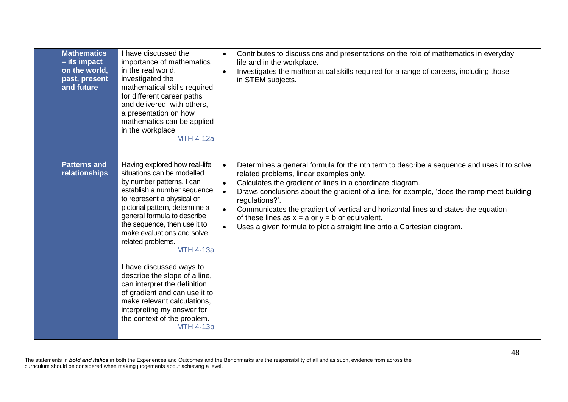| <b>Mathematics</b><br>$-$ its impact<br>on the world,<br>past, present<br>and future | I have discussed the<br>importance of mathematics<br>in the real world,<br>investigated the<br>mathematical skills required<br>for different career paths<br>and delivered, with others,<br>a presentation on how<br>mathematics can be applied<br>in the workplace.<br><b>MTH 4-12a</b>                                                                                                                                                                                                                                                                                    | Contributes to discussions and presentations on the role of mathematics in everyday<br>life and in the workplace.<br>Investigates the mathematical skills required for a range of careers, including those<br>in STEM subjects.                                                                                                                                                                                                                                                                                                                                                                          |
|--------------------------------------------------------------------------------------|-----------------------------------------------------------------------------------------------------------------------------------------------------------------------------------------------------------------------------------------------------------------------------------------------------------------------------------------------------------------------------------------------------------------------------------------------------------------------------------------------------------------------------------------------------------------------------|----------------------------------------------------------------------------------------------------------------------------------------------------------------------------------------------------------------------------------------------------------------------------------------------------------------------------------------------------------------------------------------------------------------------------------------------------------------------------------------------------------------------------------------------------------------------------------------------------------|
| <b>Patterns and</b><br>relationships                                                 | Having explored how real-life<br>situations can be modelled<br>by number patterns, I can<br>establish a number sequence<br>to represent a physical or<br>pictorial pattern, determine a<br>general formula to describe<br>the sequence, then use it to<br>make evaluations and solve<br>related problems.<br><b>MTH 4-13a</b><br>I have discussed ways to<br>describe the slope of a line,<br>can interpret the definition<br>of gradient and can use it to<br>make relevant calculations,<br>interpreting my answer for<br>the context of the problem.<br><b>MTH 4-13b</b> | Determines a general formula for the nth term to describe a sequence and uses it to solve<br>$\bullet$<br>related problems, linear examples only.<br>Calculates the gradient of lines in a coordinate diagram.<br>$\bullet$<br>Draws conclusions about the gradient of a line, for example, 'does the ramp meet building<br>$\bullet$<br>regulations?'.<br>Communicates the gradient of vertical and horizontal lines and states the equation<br>$\bullet$<br>of these lines as $x = a$ or $y = b$ or equivalent.<br>Uses a given formula to plot a straight line onto a Cartesian diagram.<br>$\bullet$ |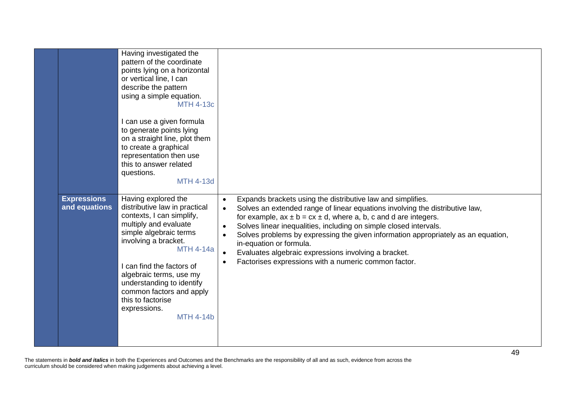|                                     | Having investigated the<br>pattern of the coordinate<br>points lying on a horizontal<br>or vertical line, I can<br>describe the pattern<br>using a simple equation.<br><b>MTH 4-13c</b><br>I can use a given formula<br>to generate points lying<br>on a straight line, plot them<br>to create a graphical<br>representation then use<br>this to answer related<br>questions.<br><b>MTH 4-13d</b> |                                                                                                                                                                                                                                                                                                                                                                                                                                                                                                                                                                                |
|-------------------------------------|---------------------------------------------------------------------------------------------------------------------------------------------------------------------------------------------------------------------------------------------------------------------------------------------------------------------------------------------------------------------------------------------------|--------------------------------------------------------------------------------------------------------------------------------------------------------------------------------------------------------------------------------------------------------------------------------------------------------------------------------------------------------------------------------------------------------------------------------------------------------------------------------------------------------------------------------------------------------------------------------|
| <b>Expressions</b><br>and equations | Having explored the<br>distributive law in practical<br>contexts, I can simplify,<br>multiply and evaluate<br>simple algebraic terms<br>involving a bracket.<br><b>MTH 4-14a</b><br>I can find the factors of<br>algebraic terms, use my<br>understanding to identify<br>common factors and apply<br>this to factorise<br>expressions.<br><b>MTH 4-14b</b>                                        | Expands brackets using the distributive law and simplifies.<br>$\bullet$<br>Solves an extended range of linear equations involving the distributive law,<br>$\bullet$<br>for example, $ax \pm b = cx \pm d$ , where a, b, c and d are integers.<br>Solves linear inequalities, including on simple closed intervals.<br>$\bullet$<br>Solves problems by expressing the given information appropriately as an equation,<br>$\bullet$<br>in-equation or formula.<br>Evaluates algebraic expressions involving a bracket.<br>Factorises expressions with a numeric common factor. |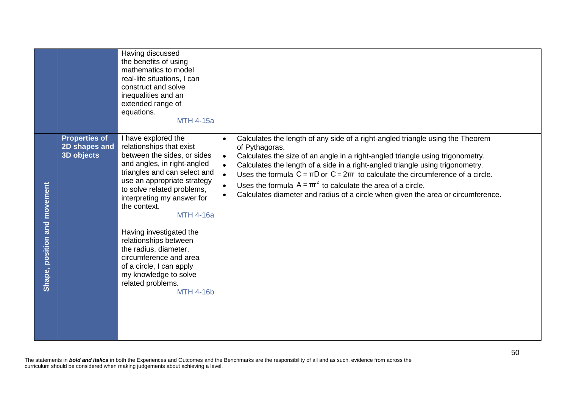|                              |                                                     | Having discussed<br>the benefits of using<br>mathematics to model<br>real-life situations, I can<br>construct and solve<br>inequalities and an<br>extended range of<br>equations.<br><b>MTH 4-15a</b>                                                                                                                                                                                                                                                                             |                                                                                                                                                                                                                                                                                                                                                                                                                                                                                                                                                                  |
|------------------------------|-----------------------------------------------------|-----------------------------------------------------------------------------------------------------------------------------------------------------------------------------------------------------------------------------------------------------------------------------------------------------------------------------------------------------------------------------------------------------------------------------------------------------------------------------------|------------------------------------------------------------------------------------------------------------------------------------------------------------------------------------------------------------------------------------------------------------------------------------------------------------------------------------------------------------------------------------------------------------------------------------------------------------------------------------------------------------------------------------------------------------------|
| Shape, position and movement | <b>Properties of</b><br>2D shapes and<br>3D objects | I have explored the<br>relationships that exist<br>between the sides, or sides<br>and angles, in right-angled<br>triangles and can select and<br>use an appropriate strategy<br>to solve related problems,<br>interpreting my answer for<br>the context.<br><b>MTH 4-16a</b><br>Having investigated the<br>relationships between<br>the radius, diameter,<br>circumference and area<br>of a circle, I can apply<br>my knowledge to solve<br>related problems.<br><b>MTH 4-16b</b> | Calculates the length of any side of a right-angled triangle using the Theorem<br>$\bullet$<br>of Pythagoras.<br>Calculates the size of an angle in a right-angled triangle using trigonometry.<br>$\bullet$<br>Calculates the length of a side in a right-angled triangle using trigonometry.<br>Uses the formula $C = \pi D$ or $C = 2\pi r$ to calculate the circumference of a circle.<br>$\bullet$<br>Uses the formula $A = \pi r^2$ to calculate the area of a circle.<br>Calculates diameter and radius of a circle when given the area or circumference. |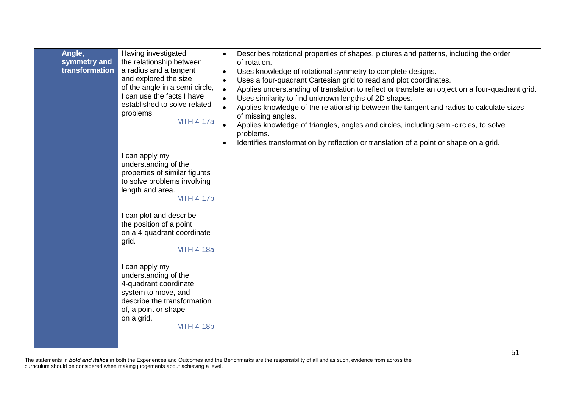| Angle,<br>symmetry and<br>transformation | Having investigated<br>the relationship between<br>a radius and a tangent<br>and explored the size<br>of the angle in a semi-circle,<br>I can use the facts I have<br>established to solve related<br>problems.<br><b>MTH 4-17a</b> | Describes rotational properties of shapes, pictures and patterns, including the order<br>of rotation.<br>Uses knowledge of rotational symmetry to complete designs.<br>$\bullet$<br>Uses a four-quadrant Cartesian grid to read and plot coordinates.<br>$\bullet$<br>Applies understanding of translation to reflect or translate an object on a four-quadrant grid.<br>$\bullet$<br>Uses similarity to find unknown lengths of 2D shapes.<br>$\bullet$<br>Applies knowledge of the relationship between the tangent and radius to calculate sizes<br>of missing angles.<br>Applies knowledge of triangles, angles and circles, including semi-circles, to solve<br>problems.<br>Identifies transformation by reflection or translation of a point or shape on a grid. |
|------------------------------------------|-------------------------------------------------------------------------------------------------------------------------------------------------------------------------------------------------------------------------------------|-------------------------------------------------------------------------------------------------------------------------------------------------------------------------------------------------------------------------------------------------------------------------------------------------------------------------------------------------------------------------------------------------------------------------------------------------------------------------------------------------------------------------------------------------------------------------------------------------------------------------------------------------------------------------------------------------------------------------------------------------------------------------|
|                                          | I can apply my<br>understanding of the<br>properties of similar figures<br>to solve problems involving<br>length and area.<br><b>MTH 4-17b</b>                                                                                      |                                                                                                                                                                                                                                                                                                                                                                                                                                                                                                                                                                                                                                                                                                                                                                         |
|                                          | I can plot and describe<br>the position of a point<br>on a 4-quadrant coordinate<br>grid.<br><b>MTH 4-18a</b>                                                                                                                       |                                                                                                                                                                                                                                                                                                                                                                                                                                                                                                                                                                                                                                                                                                                                                                         |
|                                          | I can apply my<br>understanding of the<br>4-quadrant coordinate<br>system to move, and<br>describe the transformation<br>of, a point or shape<br>on a grid.<br><b>MTH 4-18b</b>                                                     |                                                                                                                                                                                                                                                                                                                                                                                                                                                                                                                                                                                                                                                                                                                                                                         |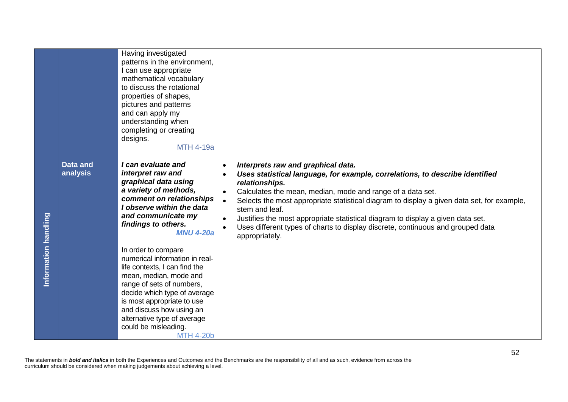|                      |                             | Having investigated<br>patterns in the environment,<br>can use appropriate<br>mathematical vocabulary<br>to discuss the rotational<br>properties of shapes,<br>pictures and patterns<br>and can apply my<br>understanding when<br>completing or creating<br>designs.<br><b>MTH 4-19a</b>                           |                                                                                                                                                                                                                                                                                                                                                                                                                                                                                                                                      |
|----------------------|-----------------------------|--------------------------------------------------------------------------------------------------------------------------------------------------------------------------------------------------------------------------------------------------------------------------------------------------------------------|--------------------------------------------------------------------------------------------------------------------------------------------------------------------------------------------------------------------------------------------------------------------------------------------------------------------------------------------------------------------------------------------------------------------------------------------------------------------------------------------------------------------------------------|
|                      | <b>Data and</b><br>analysis | I can evaluate and<br>interpret raw and<br>graphical data using<br>a variety of methods,<br>comment on relationships<br>I observe within the data<br>and communicate my<br>findings to others.<br><b>MNU 4-20a</b>                                                                                                 | Interprets raw and graphical data.<br>$\bullet$<br>Uses statistical language, for example, correlations, to describe identified<br>relationships.<br>Calculates the mean, median, mode and range of a data set.<br>Selects the most appropriate statistical diagram to display a given data set, for example,<br>$\bullet$<br>stem and leaf.<br>Justifies the most appropriate statistical diagram to display a given data set.<br>Uses different types of charts to display discrete, continuous and grouped data<br>appropriately. |
| Information handling |                             | In order to compare<br>numerical information in real-<br>life contexts, I can find the<br>mean, median, mode and<br>range of sets of numbers,<br>decide which type of average<br>is most appropriate to use<br>and discuss how using an<br>alternative type of average<br>could be misleading.<br><b>MTH 4-20b</b> |                                                                                                                                                                                                                                                                                                                                                                                                                                                                                                                                      |